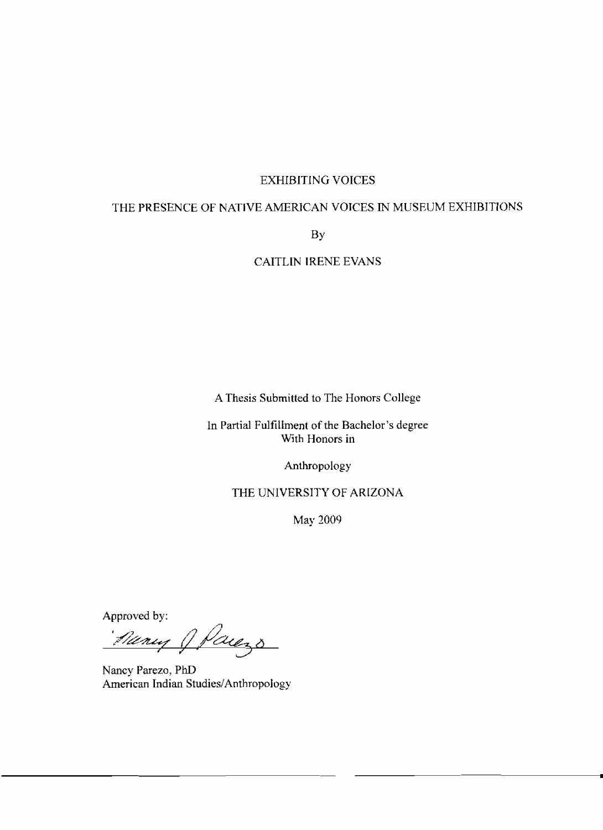# EXHIBITING VOICES

# THE PRESENCE OF **NATIVE** AMERICAN **VOICES IN** MUSEUM EXHIBITlONS

BY

CAITLIN IRENE **EVANS** 

**A** Thesis Submitted to The Honors College

In Partial Fulfillment of the Bachelor's **degree**  With Honors in

Anthropology

THE UNIVERSITY OF ARIZONA

May 3009

Approved by:<br>*Aleny J Paugs* 

Nancy **Parezo,** PhD American Indian Studies/Anthropology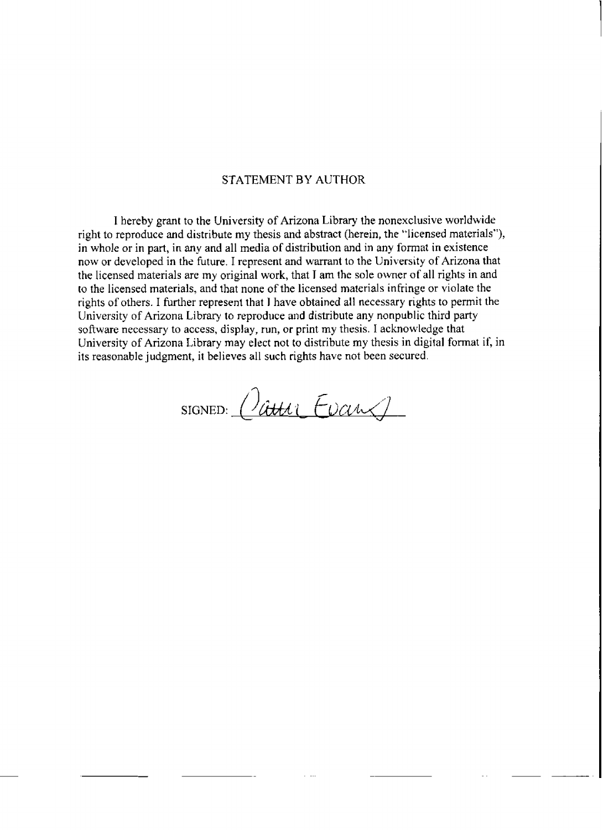# STATEMENT BY AUTHOR

I hereby grant to the University of Arizona Library the nonexclusive worldwide right to reproduce and distribute my thesis and abstract (herein, the "licensed materials"), **in** whole or in **part,** in any and all media of distribution and in any format in existence now or developed in **the** future. I represent and **warrant** to the University of Arizona that the licensed materials are my original work, that **T** am the sole owner of all rights in and to the licensed materials, and that none of the licensed materials infringe or violate the rights of others. I further represent that **1** have obtained all necessary rights to **permit** the University of Arizona Library to reproduce and distribute any nonpublic third **party**  software necessary to access, display, run, or print my thesis. I acknowledge that University of Arizona Library may elect not to distribute my thesis in digital format if, in its reasonable judgment, it believes all **such** rights have not been **secured.** 

SIGNED:  $Quutu$  Evans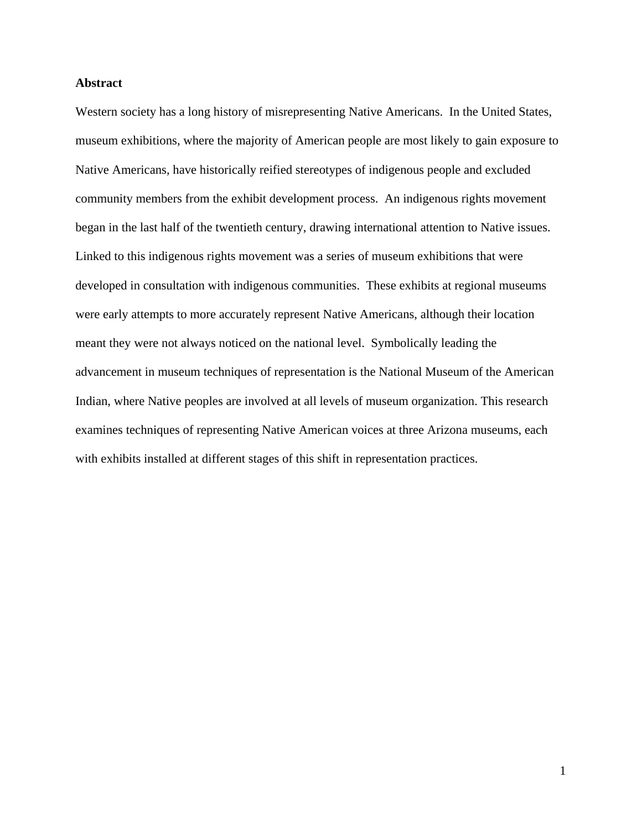# **Abstract**

Western society has a long history of misrepresenting Native Americans. In the United States, museum exhibitions, where the majority of American people are most likely to gain exposure to Native Americans, have historically reified stereotypes of indigenous people and excluded community members from the exhibit development process. An indigenous rights movement began in the last half of the twentieth century, drawing international attention to Native issues. Linked to this indigenous rights movement was a series of museum exhibitions that were developed in consultation with indigenous communities. These exhibits at regional museums were early attempts to more accurately represent Native Americans, although their location meant they were not always noticed on the national level. Symbolically leading the advancement in museum techniques of representation is the National Museum of the American Indian, where Native peoples are involved at all levels of museum organization. This research examines techniques of representing Native American voices at three Arizona museums, each with exhibits installed at different stages of this shift in representation practices.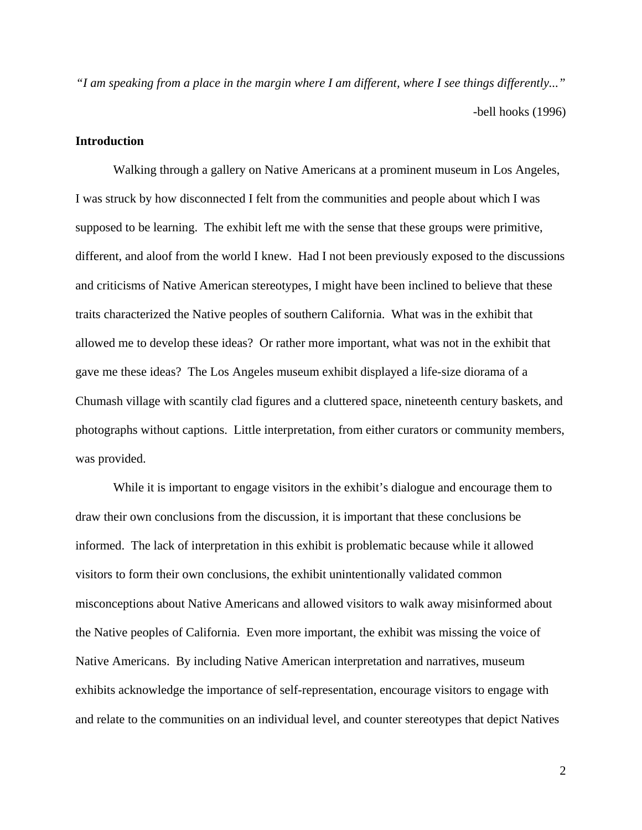*"I am speaking from a place in the margin where I am different, where I see things differently..."*  -bell hooks (1996)

# **Introduction**

 Walking through a gallery on Native Americans at a prominent museum in Los Angeles, I was struck by how disconnected I felt from the communities and people about which I was supposed to be learning. The exhibit left me with the sense that these groups were primitive, different, and aloof from the world I knew. Had I not been previously exposed to the discussions and criticisms of Native American stereotypes, I might have been inclined to believe that these traits characterized the Native peoples of southern California. What was in the exhibit that allowed me to develop these ideas? Or rather more important, what was not in the exhibit that gave me these ideas? The Los Angeles museum exhibit displayed a life-size diorama of a Chumash village with scantily clad figures and a cluttered space, nineteenth century baskets, and photographs without captions. Little interpretation, from either curators or community members, was provided.

While it is important to engage visitors in the exhibit's dialogue and encourage them to draw their own conclusions from the discussion, it is important that these conclusions be informed. The lack of interpretation in this exhibit is problematic because while it allowed visitors to form their own conclusions, the exhibit unintentionally validated common misconceptions about Native Americans and allowed visitors to walk away misinformed about the Native peoples of California. Even more important, the exhibit was missing the voice of Native Americans. By including Native American interpretation and narratives, museum exhibits acknowledge the importance of self-representation, encourage visitors to engage with and relate to the communities on an individual level, and counter stereotypes that depict Natives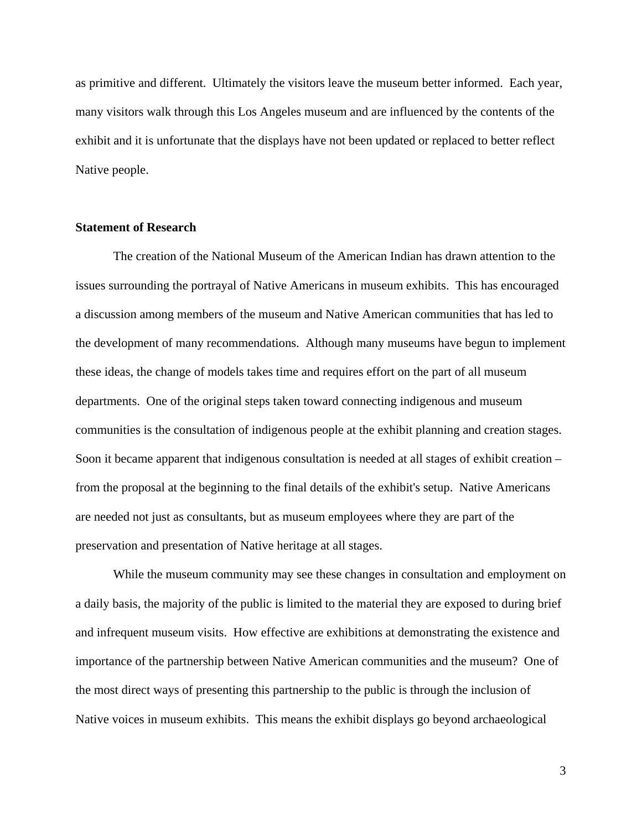as primitive and different. Ultimately the visitors leave the museum better informed. Each year, many visitors walk through this Los Angeles museum and are influenced by the contents of the exhibit and it is unfortunate that the displays have not been updated or replaced to better reflect Native people.

# **Statement of Research**

 The creation of the National Museum of the American Indian has drawn attention to the issues surrounding the portrayal of Native Americans in museum exhibits. This has encouraged a discussion among members of the museum and Native American communities that has led to the development of many recommendations. Although many museums have begun to implement these ideas, the change of models takes time and requires effort on the part of all museum departments. One of the original steps taken toward connecting indigenous and museum communities is the consultation of indigenous people at the exhibit planning and creation stages. Soon it became apparent that indigenous consultation is needed at all stages of exhibit creation – from the proposal at the beginning to the final details of the exhibit's setup. Native Americans are needed not just as consultants, but as museum employees where they are part of the preservation and presentation of Native heritage at all stages.

 While the museum community may see these changes in consultation and employment on a daily basis, the majority of the public is limited to the material they are exposed to during brief and infrequent museum visits. How effective are exhibitions at demonstrating the existence and importance of the partnership between Native American communities and the museum? One of the most direct ways of presenting this partnership to the public is through the inclusion of Native voices in museum exhibits. This means the exhibit displays go beyond archaeological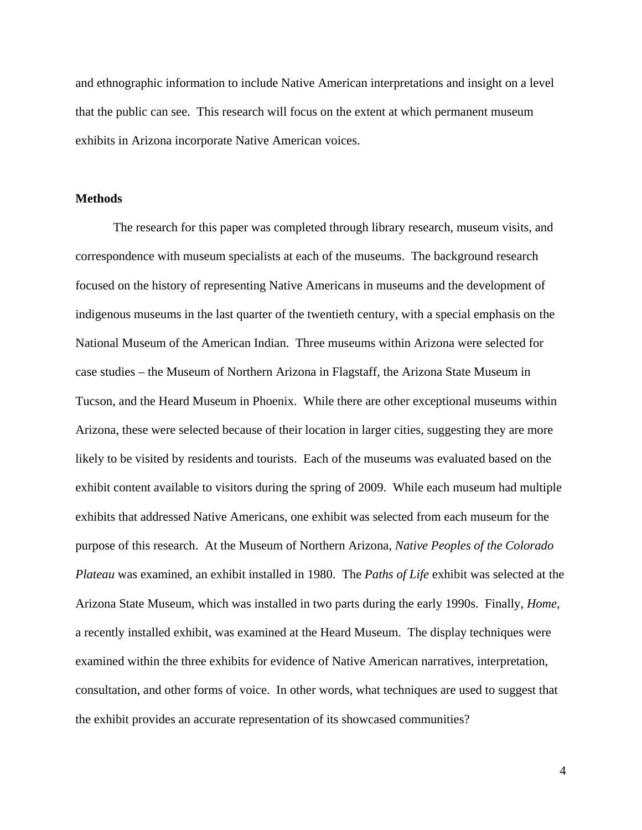and ethnographic information to include Native American interpretations and insight on a level that the public can see. This research will focus on the extent at which permanent museum exhibits in Arizona incorporate Native American voices.

## **Methods**

 The research for this paper was completed through library research, museum visits, and correspondence with museum specialists at each of the museums. The background research focused on the history of representing Native Americans in museums and the development of indigenous museums in the last quarter of the twentieth century, with a special emphasis on the National Museum of the American Indian. Three museums within Arizona were selected for case studies – the Museum of Northern Arizona in Flagstaff, the Arizona State Museum in Tucson, and the Heard Museum in Phoenix. While there are other exceptional museums within Arizona, these were selected because of their location in larger cities, suggesting they are more likely to be visited by residents and tourists. Each of the museums was evaluated based on the exhibit content available to visitors during the spring of 2009. While each museum had multiple exhibits that addressed Native Americans, one exhibit was selected from each museum for the purpose of this research. At the Museum of Northern Arizona, *Native Peoples of the Colorado Plateau* was examined, an exhibit installed in 1980. The *Paths of Life* exhibit was selected at the Arizona State Museum, which was installed in two parts during the early 1990s. Finally, *Home*, a recently installed exhibit, was examined at the Heard Museum. The display techniques were examined within the three exhibits for evidence of Native American narratives, interpretation, consultation, and other forms of voice. In other words, what techniques are used to suggest that the exhibit provides an accurate representation of its showcased communities?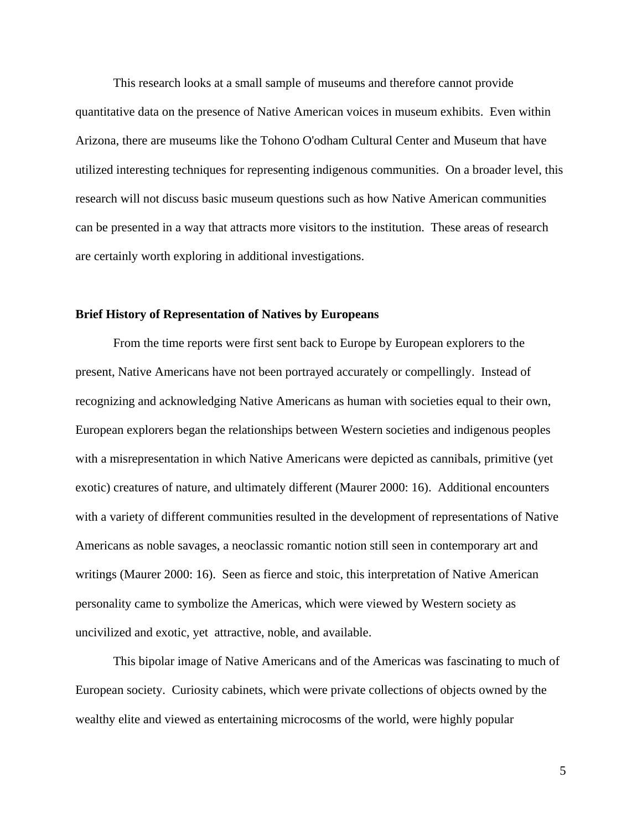This research looks at a small sample of museums and therefore cannot provide quantitative data on the presence of Native American voices in museum exhibits. Even within Arizona, there are museums like the Tohono O'odham Cultural Center and Museum that have utilized interesting techniques for representing indigenous communities. On a broader level, this research will not discuss basic museum questions such as how Native American communities can be presented in a way that attracts more visitors to the institution. These areas of research are certainly worth exploring in additional investigations.

#### **Brief History of Representation of Natives by Europeans**

From the time reports were first sent back to Europe by European explorers to the present, Native Americans have not been portrayed accurately or compellingly. Instead of recognizing and acknowledging Native Americans as human with societies equal to their own, European explorers began the relationships between Western societies and indigenous peoples with a misrepresentation in which Native Americans were depicted as cannibals, primitive (yet exotic) creatures of nature, and ultimately different (Maurer 2000: 16). Additional encounters with a variety of different communities resulted in the development of representations of Native Americans as noble savages, a neoclassic romantic notion still seen in contemporary art and writings (Maurer 2000: 16). Seen as fierce and stoic, this interpretation of Native American personality came to symbolize the Americas, which were viewed by Western society as uncivilized and exotic, yet attractive, noble, and available.

This bipolar image of Native Americans and of the Americas was fascinating to much of European society. Curiosity cabinets, which were private collections of objects owned by the wealthy elite and viewed as entertaining microcosms of the world, were highly popular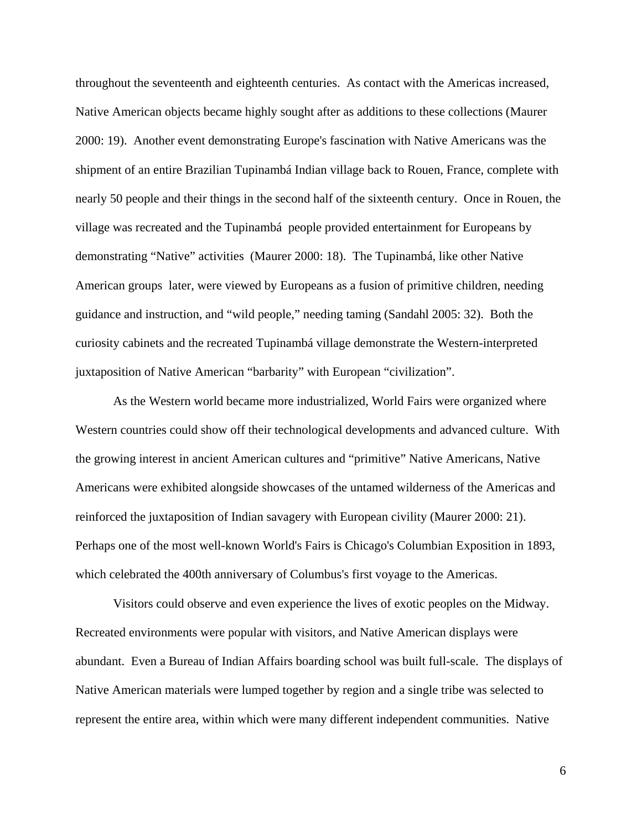throughout the seventeenth and eighteenth centuries. As contact with the Americas increased, Native American objects became highly sought after as additions to these collections (Maurer 2000: 19). Another event demonstrating Europe's fascination with Native Americans was the shipment of an entire Brazilian Tupinambá Indian village back to Rouen, France, complete with nearly 50 people and their things in the second half of the sixteenth century. Once in Rouen, the village was recreated and the Tupinambá people provided entertainment for Europeans by demonstrating "Native" activities (Maurer 2000: 18). The Tupinambá, like other Native American groups later, were viewed by Europeans as a fusion of primitive children, needing guidance and instruction, and "wild people," needing taming (Sandahl 2005: 32). Both the curiosity cabinets and the recreated Tupinambá village demonstrate the Western-interpreted juxtaposition of Native American "barbarity" with European "civilization".

As the Western world became more industrialized, World Fairs were organized where Western countries could show off their technological developments and advanced culture. With the growing interest in ancient American cultures and "primitive" Native Americans, Native Americans were exhibited alongside showcases of the untamed wilderness of the Americas and reinforced the juxtaposition of Indian savagery with European civility (Maurer 2000: 21). Perhaps one of the most well-known World's Fairs is Chicago's Columbian Exposition in 1893, which celebrated the 400th anniversary of Columbus's first voyage to the Americas.

Visitors could observe and even experience the lives of exotic peoples on the Midway. Recreated environments were popular with visitors, and Native American displays were abundant. Even a Bureau of Indian Affairs boarding school was built full-scale. The displays of Native American materials were lumped together by region and a single tribe was selected to represent the entire area, within which were many different independent communities. Native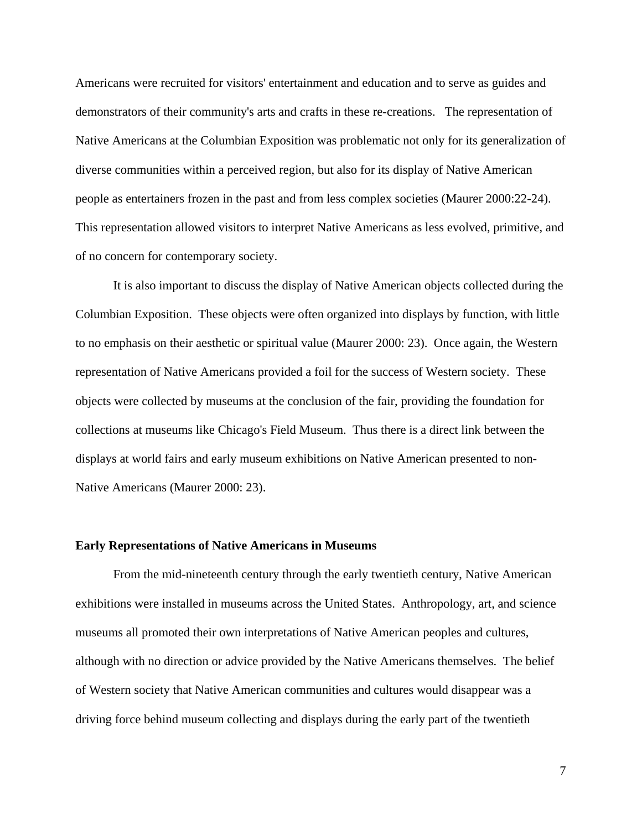Americans were recruited for visitors' entertainment and education and to serve as guides and demonstrators of their community's arts and crafts in these re-creations. The representation of Native Americans at the Columbian Exposition was problematic not only for its generalization of diverse communities within a perceived region, but also for its display of Native American people as entertainers frozen in the past and from less complex societies (Maurer 2000:22-24). This representation allowed visitors to interpret Native Americans as less evolved, primitive, and of no concern for contemporary society.

It is also important to discuss the display of Native American objects collected during the Columbian Exposition. These objects were often organized into displays by function, with little to no emphasis on their aesthetic or spiritual value (Maurer 2000: 23). Once again, the Western representation of Native Americans provided a foil for the success of Western society. These objects were collected by museums at the conclusion of the fair, providing the foundation for collections at museums like Chicago's Field Museum. Thus there is a direct link between the displays at world fairs and early museum exhibitions on Native American presented to non-Native Americans (Maurer 2000: 23).

#### **Early Representations of Native Americans in Museums**

From the mid-nineteenth century through the early twentieth century, Native American exhibitions were installed in museums across the United States. Anthropology, art, and science museums all promoted their own interpretations of Native American peoples and cultures, although with no direction or advice provided by the Native Americans themselves. The belief of Western society that Native American communities and cultures would disappear was a driving force behind museum collecting and displays during the early part of the twentieth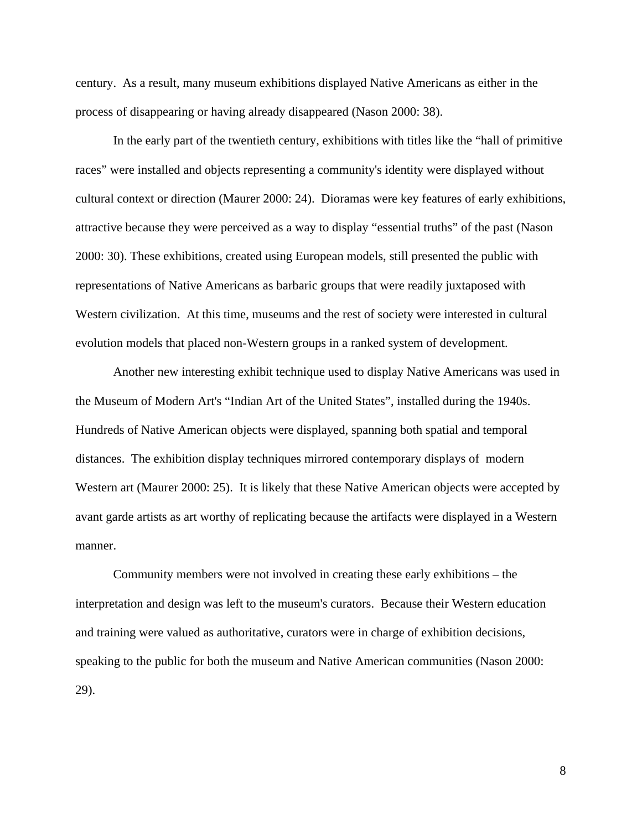century. As a result, many museum exhibitions displayed Native Americans as either in the process of disappearing or having already disappeared (Nason 2000: 38).

In the early part of the twentieth century, exhibitions with titles like the "hall of primitive races" were installed and objects representing a community's identity were displayed without cultural context or direction (Maurer 2000: 24). Dioramas were key features of early exhibitions, attractive because they were perceived as a way to display "essential truths" of the past (Nason 2000: 30). These exhibitions, created using European models, still presented the public with representations of Native Americans as barbaric groups that were readily juxtaposed with Western civilization. At this time, museums and the rest of society were interested in cultural evolution models that placed non-Western groups in a ranked system of development.

Another new interesting exhibit technique used to display Native Americans was used in the Museum of Modern Art's "Indian Art of the United States", installed during the 1940s. Hundreds of Native American objects were displayed, spanning both spatial and temporal distances. The exhibition display techniques mirrored contemporary displays of modern Western art (Maurer 2000: 25). It is likely that these Native American objects were accepted by avant garde artists as art worthy of replicating because the artifacts were displayed in a Western manner.

Community members were not involved in creating these early exhibitions – the interpretation and design was left to the museum's curators. Because their Western education and training were valued as authoritative, curators were in charge of exhibition decisions, speaking to the public for both the museum and Native American communities (Nason 2000: 29).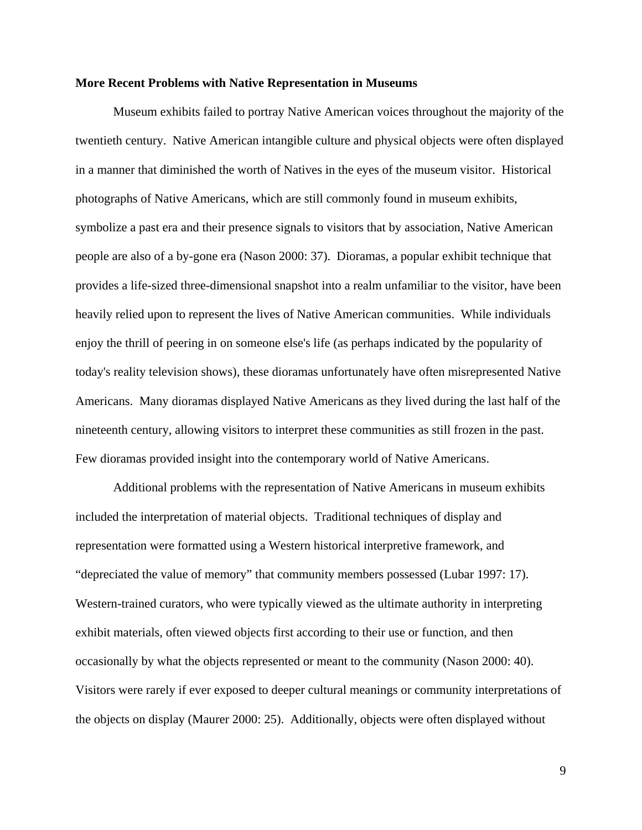### **More Recent Problems with Native Representation in Museums**

 Museum exhibits failed to portray Native American voices throughout the majority of the twentieth century. Native American intangible culture and physical objects were often displayed in a manner that diminished the worth of Natives in the eyes of the museum visitor. Historical photographs of Native Americans, which are still commonly found in museum exhibits, symbolize a past era and their presence signals to visitors that by association, Native American people are also of a by-gone era (Nason 2000: 37). Dioramas, a popular exhibit technique that provides a life-sized three-dimensional snapshot into a realm unfamiliar to the visitor, have been heavily relied upon to represent the lives of Native American communities. While individuals enjoy the thrill of peering in on someone else's life (as perhaps indicated by the popularity of today's reality television shows), these dioramas unfortunately have often misrepresented Native Americans. Many dioramas displayed Native Americans as they lived during the last half of the nineteenth century, allowing visitors to interpret these communities as still frozen in the past. Few dioramas provided insight into the contemporary world of Native Americans.

Additional problems with the representation of Native Americans in museum exhibits included the interpretation of material objects. Traditional techniques of display and representation were formatted using a Western historical interpretive framework, and "depreciated the value of memory" that community members possessed (Lubar 1997: 17). Western-trained curators, who were typically viewed as the ultimate authority in interpreting exhibit materials, often viewed objects first according to their use or function, and then occasionally by what the objects represented or meant to the community (Nason 2000: 40). Visitors were rarely if ever exposed to deeper cultural meanings or community interpretations of the objects on display (Maurer 2000: 25). Additionally, objects were often displayed without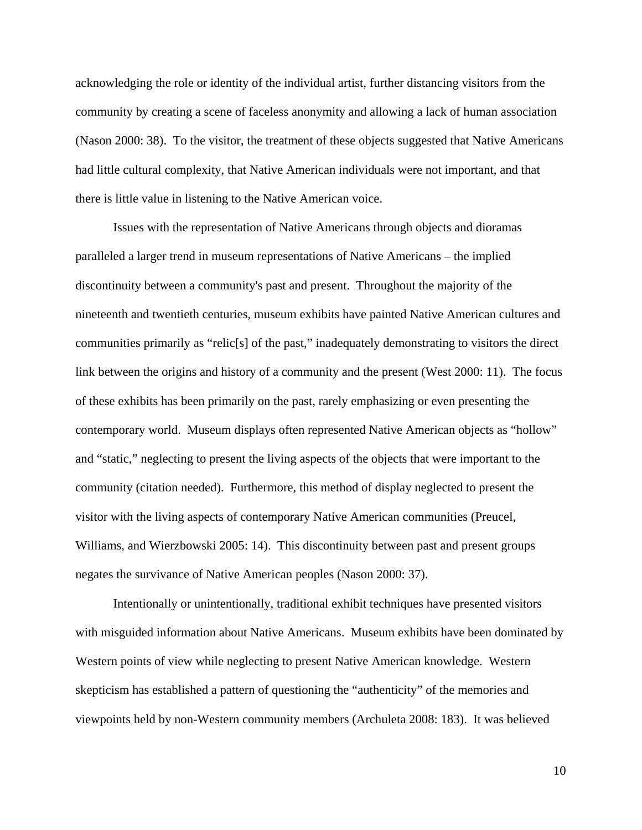acknowledging the role or identity of the individual artist, further distancing visitors from the community by creating a scene of faceless anonymity and allowing a lack of human association (Nason 2000: 38). To the visitor, the treatment of these objects suggested that Native Americans had little cultural complexity, that Native American individuals were not important, and that there is little value in listening to the Native American voice.

 Issues with the representation of Native Americans through objects and dioramas paralleled a larger trend in museum representations of Native Americans – the implied discontinuity between a community's past and present. Throughout the majority of the nineteenth and twentieth centuries, museum exhibits have painted Native American cultures and communities primarily as "relic[s] of the past," inadequately demonstrating to visitors the direct link between the origins and history of a community and the present (West 2000: 11). The focus of these exhibits has been primarily on the past, rarely emphasizing or even presenting the contemporary world. Museum displays often represented Native American objects as "hollow" and "static," neglecting to present the living aspects of the objects that were important to the community (citation needed). Furthermore, this method of display neglected to present the visitor with the living aspects of contemporary Native American communities (Preucel, Williams, and Wierzbowski 2005: 14). This discontinuity between past and present groups negates the survivance of Native American peoples (Nason 2000: 37).

Intentionally or unintentionally, traditional exhibit techniques have presented visitors with misguided information about Native Americans. Museum exhibits have been dominated by Western points of view while neglecting to present Native American knowledge. Western skepticism has established a pattern of questioning the "authenticity" of the memories and viewpoints held by non-Western community members (Archuleta 2008: 183). It was believed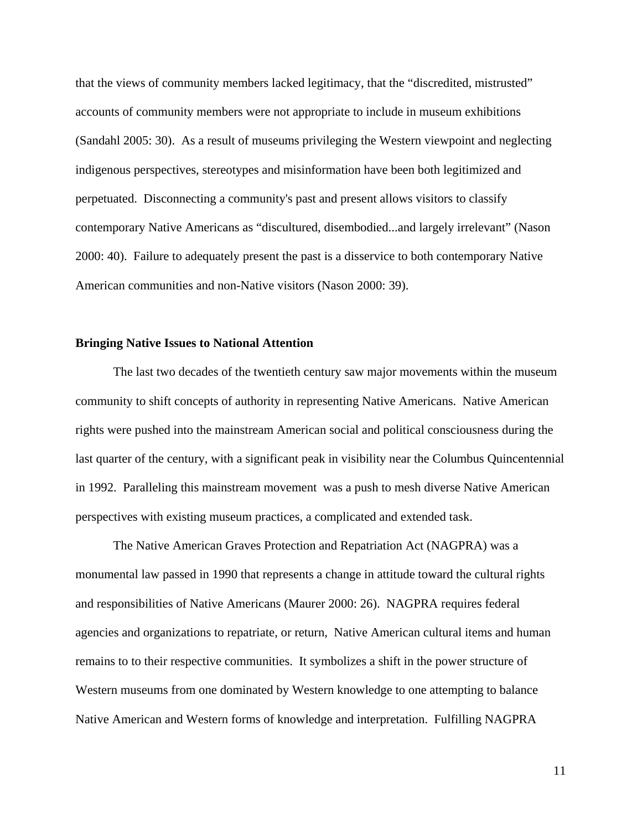that the views of community members lacked legitimacy, that the "discredited, mistrusted" accounts of community members were not appropriate to include in museum exhibitions (Sandahl 2005: 30). As a result of museums privileging the Western viewpoint and neglecting indigenous perspectives, stereotypes and misinformation have been both legitimized and perpetuated. Disconnecting a community's past and present allows visitors to classify contemporary Native Americans as "discultured, disembodied...and largely irrelevant" (Nason 2000: 40). Failure to adequately present the past is a disservice to both contemporary Native American communities and non-Native visitors (Nason 2000: 39).

#### **Bringing Native Issues to National Attention**

The last two decades of the twentieth century saw major movements within the museum community to shift concepts of authority in representing Native Americans. Native American rights were pushed into the mainstream American social and political consciousness during the last quarter of the century, with a significant peak in visibility near the Columbus Quincentennial in 1992. Paralleling this mainstream movement was a push to mesh diverse Native American perspectives with existing museum practices, a complicated and extended task.

The Native American Graves Protection and Repatriation Act (NAGPRA) was a monumental law passed in 1990 that represents a change in attitude toward the cultural rights and responsibilities of Native Americans (Maurer 2000: 26). NAGPRA requires federal agencies and organizations to repatriate, or return, Native American cultural items and human remains to to their respective communities. It symbolizes a shift in the power structure of Western museums from one dominated by Western knowledge to one attempting to balance Native American and Western forms of knowledge and interpretation. Fulfilling NAGPRA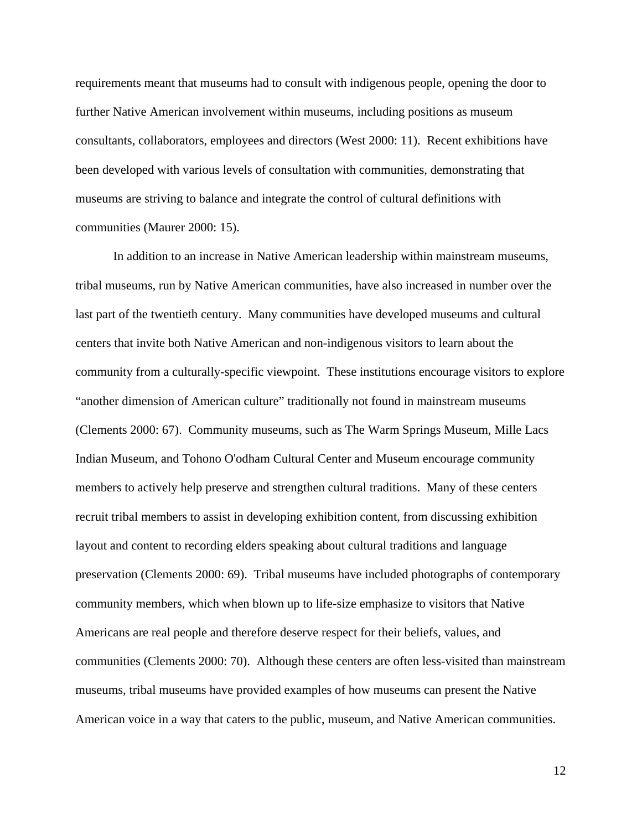requirements meant that museums had to consult with indigenous people, opening the door to further Native American involvement within museums, including positions as museum consultants, collaborators, employees and directors (West 2000: 11). Recent exhibitions have been developed with various levels of consultation with communities, demonstrating that museums are striving to balance and integrate the control of cultural definitions with communities (Maurer 2000: 15).

In addition to an increase in Native American leadership within mainstream museums, tribal museums, run by Native American communities, have also increased in number over the last part of the twentieth century. Many communities have developed museums and cultural centers that invite both Native American and non-indigenous visitors to learn about the community from a culturally-specific viewpoint. These institutions encourage visitors to explore "another dimension of American culture" traditionally not found in mainstream museums (Clements 2000: 67). Community museums, such as The Warm Springs Museum, Mille Lacs Indian Museum, and Tohono O'odham Cultural Center and Museum encourage community members to actively help preserve and strengthen cultural traditions. Many of these centers recruit tribal members to assist in developing exhibition content, from discussing exhibition layout and content to recording elders speaking about cultural traditions and language preservation (Clements 2000: 69). Tribal museums have included photographs of contemporary community members, which when blown up to life-size emphasize to visitors that Native Americans are real people and therefore deserve respect for their beliefs, values, and communities (Clements 2000: 70). Although these centers are often less-visited than mainstream museums, tribal museums have provided examples of how museums can present the Native American voice in a way that caters to the public, museum, and Native American communities.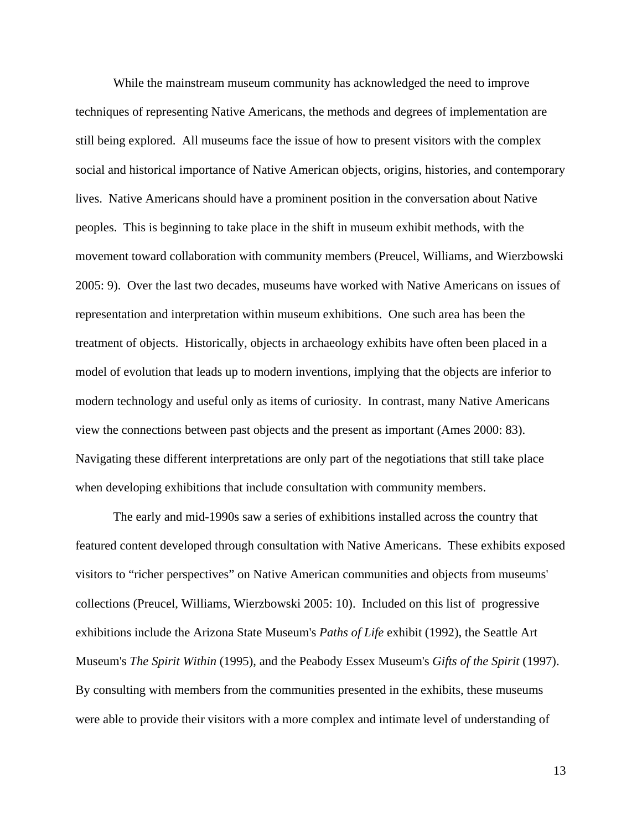While the mainstream museum community has acknowledged the need to improve techniques of representing Native Americans, the methods and degrees of implementation are still being explored. All museums face the issue of how to present visitors with the complex social and historical importance of Native American objects, origins, histories, and contemporary lives. Native Americans should have a prominent position in the conversation about Native peoples. This is beginning to take place in the shift in museum exhibit methods, with the movement toward collaboration with community members (Preucel, Williams, and Wierzbowski 2005: 9). Over the last two decades, museums have worked with Native Americans on issues of representation and interpretation within museum exhibitions. One such area has been the treatment of objects. Historically, objects in archaeology exhibits have often been placed in a model of evolution that leads up to modern inventions, implying that the objects are inferior to modern technology and useful only as items of curiosity. In contrast, many Native Americans view the connections between past objects and the present as important (Ames 2000: 83). Navigating these different interpretations are only part of the negotiations that still take place when developing exhibitions that include consultation with community members.

The early and mid-1990s saw a series of exhibitions installed across the country that featured content developed through consultation with Native Americans. These exhibits exposed visitors to "richer perspectives" on Native American communities and objects from museums' collections (Preucel, Williams, Wierzbowski 2005: 10). Included on this list of progressive exhibitions include the Arizona State Museum's *Paths of Life* exhibit (1992), the Seattle Art Museum's *The Spirit Within* (1995), and the Peabody Essex Museum's *Gifts of the Spirit* (1997). By consulting with members from the communities presented in the exhibits, these museums were able to provide their visitors with a more complex and intimate level of understanding of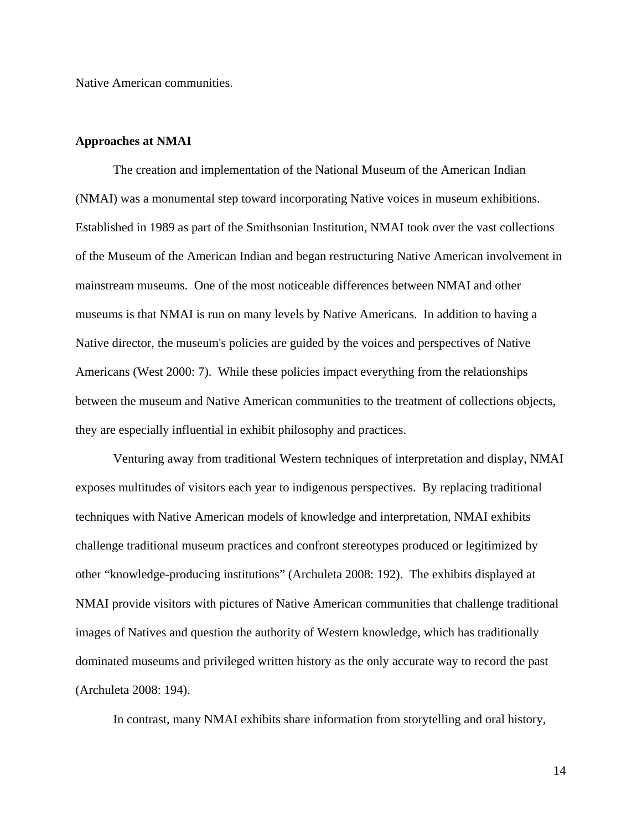Native American communities.

## **Approaches at NMAI**

The creation and implementation of the National Museum of the American Indian (NMAI) was a monumental step toward incorporating Native voices in museum exhibitions. Established in 1989 as part of the Smithsonian Institution, NMAI took over the vast collections of the Museum of the American Indian and began restructuring Native American involvement in mainstream museums. One of the most noticeable differences between NMAI and other museums is that NMAI is run on many levels by Native Americans. In addition to having a Native director, the museum's policies are guided by the voices and perspectives of Native Americans (West 2000: 7). While these policies impact everything from the relationships between the museum and Native American communities to the treatment of collections objects, they are especially influential in exhibit philosophy and practices.

Venturing away from traditional Western techniques of interpretation and display, NMAI exposes multitudes of visitors each year to indigenous perspectives. By replacing traditional techniques with Native American models of knowledge and interpretation, NMAI exhibits challenge traditional museum practices and confront stereotypes produced or legitimized by other "knowledge-producing institutions" (Archuleta 2008: 192). The exhibits displayed at NMAI provide visitors with pictures of Native American communities that challenge traditional images of Natives and question the authority of Western knowledge, which has traditionally dominated museums and privileged written history as the only accurate way to record the past (Archuleta 2008: 194).

In contrast, many NMAI exhibits share information from storytelling and oral history,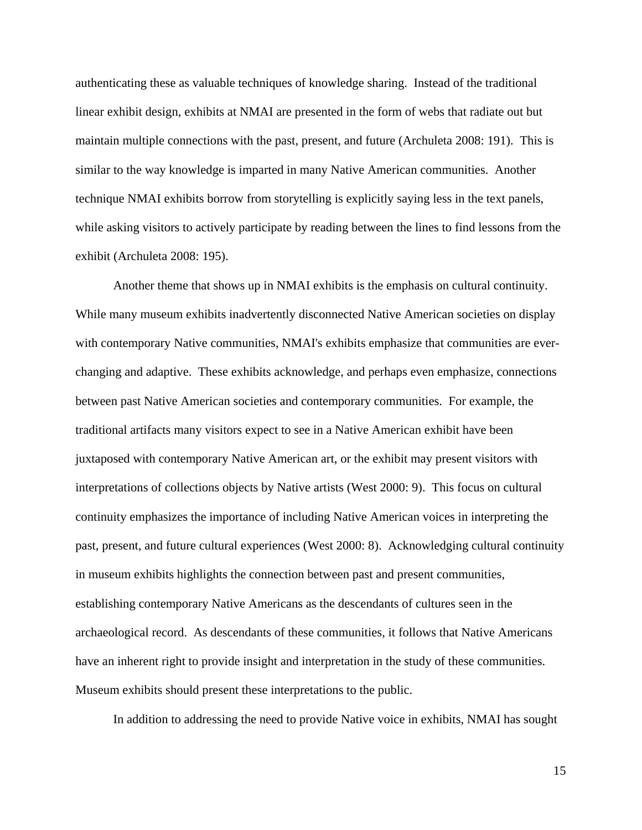authenticating these as valuable techniques of knowledge sharing. Instead of the traditional linear exhibit design, exhibits at NMAI are presented in the form of webs that radiate out but maintain multiple connections with the past, present, and future (Archuleta 2008: 191). This is similar to the way knowledge is imparted in many Native American communities. Another technique NMAI exhibits borrow from storytelling is explicitly saying less in the text panels, while asking visitors to actively participate by reading between the lines to find lessons from the exhibit (Archuleta 2008: 195).

Another theme that shows up in NMAI exhibits is the emphasis on cultural continuity. While many museum exhibits inadvertently disconnected Native American societies on display with contemporary Native communities, NMAI's exhibits emphasize that communities are everchanging and adaptive. These exhibits acknowledge, and perhaps even emphasize, connections between past Native American societies and contemporary communities. For example, the traditional artifacts many visitors expect to see in a Native American exhibit have been juxtaposed with contemporary Native American art, or the exhibit may present visitors with interpretations of collections objects by Native artists (West 2000: 9). This focus on cultural continuity emphasizes the importance of including Native American voices in interpreting the past, present, and future cultural experiences (West 2000: 8). Acknowledging cultural continuity in museum exhibits highlights the connection between past and present communities, establishing contemporary Native Americans as the descendants of cultures seen in the archaeological record. As descendants of these communities, it follows that Native Americans have an inherent right to provide insight and interpretation in the study of these communities. Museum exhibits should present these interpretations to the public.

In addition to addressing the need to provide Native voice in exhibits, NMAI has sought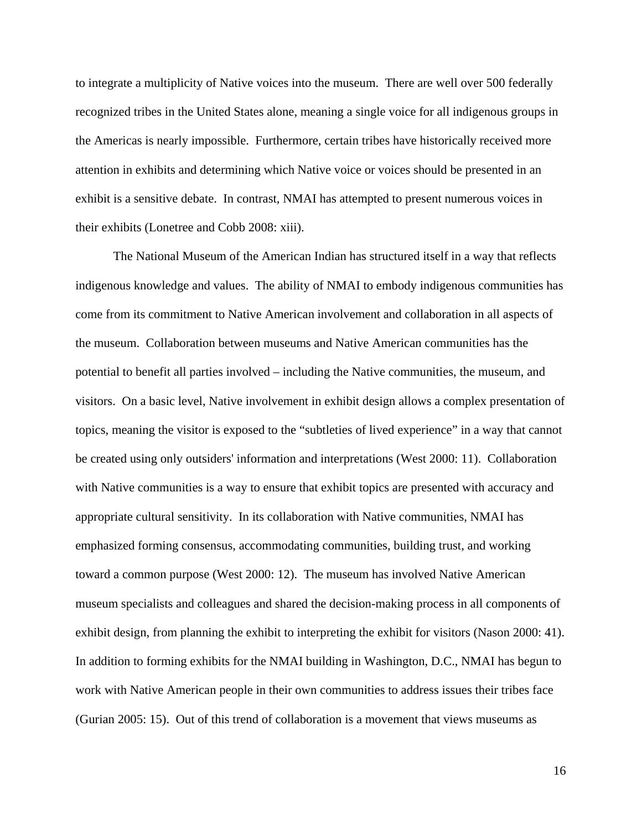to integrate a multiplicity of Native voices into the museum. There are well over 500 federally recognized tribes in the United States alone, meaning a single voice for all indigenous groups in the Americas is nearly impossible. Furthermore, certain tribes have historically received more attention in exhibits and determining which Native voice or voices should be presented in an exhibit is a sensitive debate. In contrast, NMAI has attempted to present numerous voices in their exhibits (Lonetree and Cobb 2008: xiii).

The National Museum of the American Indian has structured itself in a way that reflects indigenous knowledge and values. The ability of NMAI to embody indigenous communities has come from its commitment to Native American involvement and collaboration in all aspects of the museum. Collaboration between museums and Native American communities has the potential to benefit all parties involved – including the Native communities, the museum, and visitors. On a basic level, Native involvement in exhibit design allows a complex presentation of topics, meaning the visitor is exposed to the "subtleties of lived experience" in a way that cannot be created using only outsiders' information and interpretations (West 2000: 11). Collaboration with Native communities is a way to ensure that exhibit topics are presented with accuracy and appropriate cultural sensitivity. In its collaboration with Native communities, NMAI has emphasized forming consensus, accommodating communities, building trust, and working toward a common purpose (West 2000: 12). The museum has involved Native American museum specialists and colleagues and shared the decision-making process in all components of exhibit design, from planning the exhibit to interpreting the exhibit for visitors (Nason 2000: 41). In addition to forming exhibits for the NMAI building in Washington, D.C., NMAI has begun to work with Native American people in their own communities to address issues their tribes face (Gurian 2005: 15). Out of this trend of collaboration is a movement that views museums as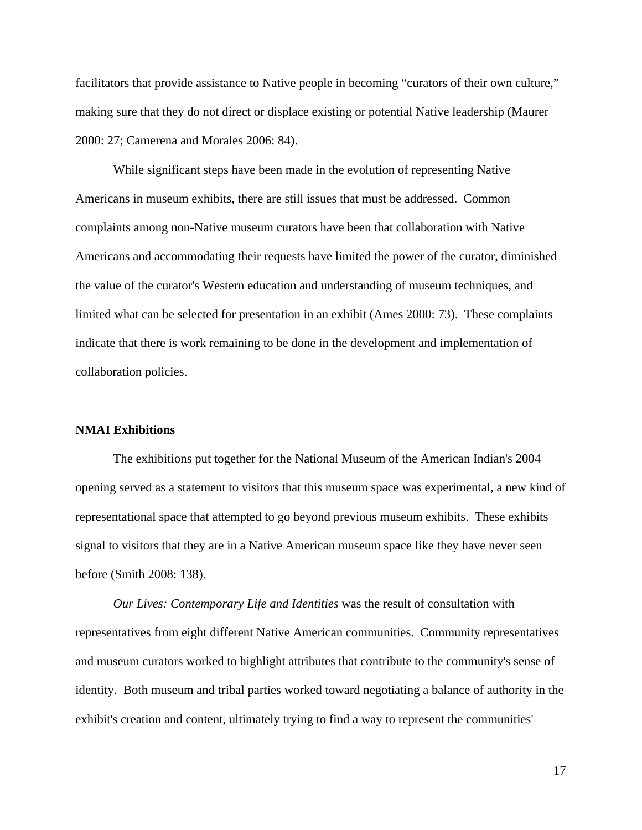facilitators that provide assistance to Native people in becoming "curators of their own culture," making sure that they do not direct or displace existing or potential Native leadership (Maurer 2000: 27; Camerena and Morales 2006: 84).

While significant steps have been made in the evolution of representing Native Americans in museum exhibits, there are still issues that must be addressed. Common complaints among non-Native museum curators have been that collaboration with Native Americans and accommodating their requests have limited the power of the curator, diminished the value of the curator's Western education and understanding of museum techniques, and limited what can be selected for presentation in an exhibit (Ames 2000: 73). These complaints indicate that there is work remaining to be done in the development and implementation of collaboration policies.

## **NMAI Exhibitions**

The exhibitions put together for the National Museum of the American Indian's 2004 opening served as a statement to visitors that this museum space was experimental, a new kind of representational space that attempted to go beyond previous museum exhibits. These exhibits signal to visitors that they are in a Native American museum space like they have never seen before (Smith 2008: 138).

*Our Lives: Contemporary Life and Identities* was the result of consultation with representatives from eight different Native American communities. Community representatives and museum curators worked to highlight attributes that contribute to the community's sense of identity. Both museum and tribal parties worked toward negotiating a balance of authority in the exhibit's creation and content, ultimately trying to find a way to represent the communities'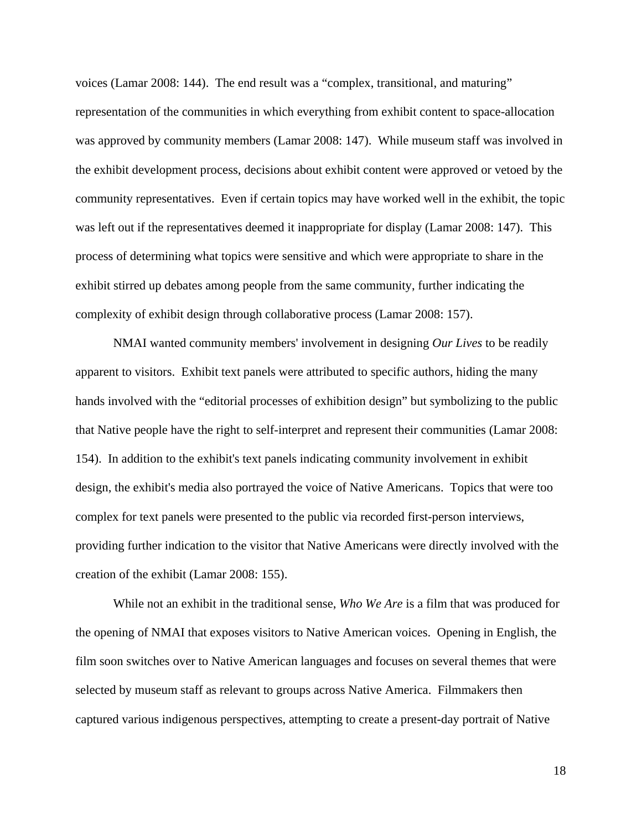voices (Lamar 2008: 144). The end result was a "complex, transitional, and maturing" representation of the communities in which everything from exhibit content to space-allocation was approved by community members (Lamar 2008: 147). While museum staff was involved in the exhibit development process, decisions about exhibit content were approved or vetoed by the community representatives. Even if certain topics may have worked well in the exhibit, the topic was left out if the representatives deemed it inappropriate for display (Lamar 2008: 147). This process of determining what topics were sensitive and which were appropriate to share in the exhibit stirred up debates among people from the same community, further indicating the complexity of exhibit design through collaborative process (Lamar 2008: 157).

NMAI wanted community members' involvement in designing *Our Lives* to be readily apparent to visitors. Exhibit text panels were attributed to specific authors, hiding the many hands involved with the "editorial processes of exhibition design" but symbolizing to the public that Native people have the right to self-interpret and represent their communities (Lamar 2008: 154). In addition to the exhibit's text panels indicating community involvement in exhibit design, the exhibit's media also portrayed the voice of Native Americans. Topics that were too complex for text panels were presented to the public via recorded first-person interviews, providing further indication to the visitor that Native Americans were directly involved with the creation of the exhibit (Lamar 2008: 155).

While not an exhibit in the traditional sense, *Who We Are* is a film that was produced for the opening of NMAI that exposes visitors to Native American voices. Opening in English, the film soon switches over to Native American languages and focuses on several themes that were selected by museum staff as relevant to groups across Native America. Filmmakers then captured various indigenous perspectives, attempting to create a present-day portrait of Native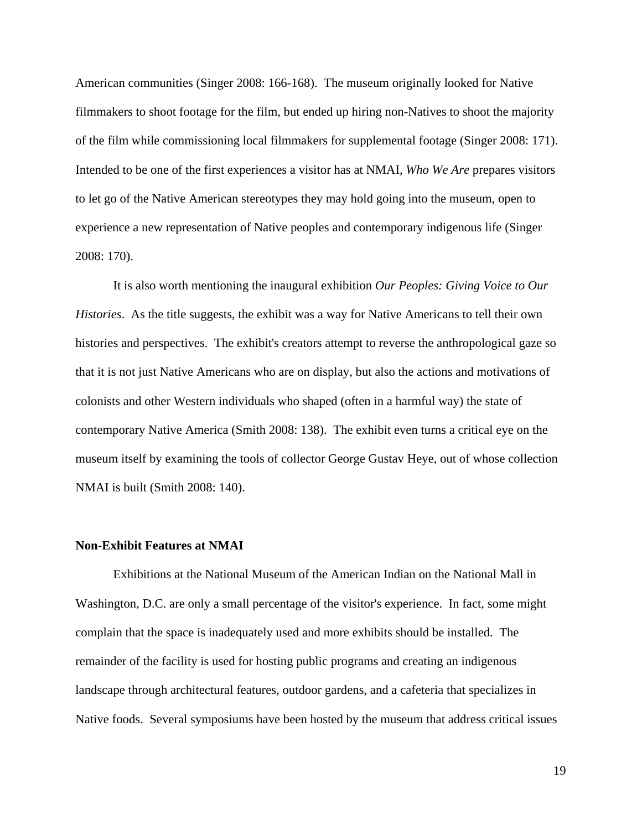American communities (Singer 2008: 166-168). The museum originally looked for Native filmmakers to shoot footage for the film, but ended up hiring non-Natives to shoot the majority of the film while commissioning local filmmakers for supplemental footage (Singer 2008: 171). Intended to be one of the first experiences a visitor has at NMAI, *Who We Are* prepares visitors to let go of the Native American stereotypes they may hold going into the museum, open to experience a new representation of Native peoples and contemporary indigenous life (Singer 2008: 170).

It is also worth mentioning the inaugural exhibition *Our Peoples: Giving Voice to Our Histories*. As the title suggests, the exhibit was a way for Native Americans to tell their own histories and perspectives. The exhibit's creators attempt to reverse the anthropological gaze so that it is not just Native Americans who are on display, but also the actions and motivations of colonists and other Western individuals who shaped (often in a harmful way) the state of contemporary Native America (Smith 2008: 138). The exhibit even turns a critical eye on the museum itself by examining the tools of collector George Gustav Heye, out of whose collection NMAI is built (Smith 2008: 140).

#### **Non-Exhibit Features at NMAI**

Exhibitions at the National Museum of the American Indian on the National Mall in Washington, D.C. are only a small percentage of the visitor's experience. In fact, some might complain that the space is inadequately used and more exhibits should be installed. The remainder of the facility is used for hosting public programs and creating an indigenous landscape through architectural features, outdoor gardens, and a cafeteria that specializes in Native foods. Several symposiums have been hosted by the museum that address critical issues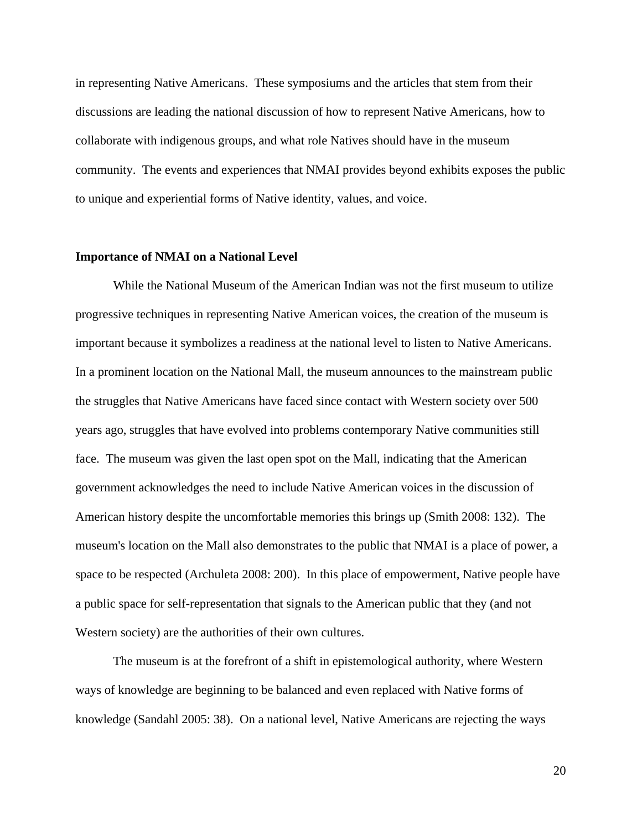in representing Native Americans. These symposiums and the articles that stem from their discussions are leading the national discussion of how to represent Native Americans, how to collaborate with indigenous groups, and what role Natives should have in the museum community. The events and experiences that NMAI provides beyond exhibits exposes the public to unique and experiential forms of Native identity, values, and voice.

#### **Importance of NMAI on a National Level**

While the National Museum of the American Indian was not the first museum to utilize progressive techniques in representing Native American voices, the creation of the museum is important because it symbolizes a readiness at the national level to listen to Native Americans. In a prominent location on the National Mall, the museum announces to the mainstream public the struggles that Native Americans have faced since contact with Western society over 500 years ago, struggles that have evolved into problems contemporary Native communities still face. The museum was given the last open spot on the Mall, indicating that the American government acknowledges the need to include Native American voices in the discussion of American history despite the uncomfortable memories this brings up (Smith 2008: 132). The museum's location on the Mall also demonstrates to the public that NMAI is a place of power, a space to be respected (Archuleta 2008: 200). In this place of empowerment, Native people have a public space for self-representation that signals to the American public that they (and not Western society) are the authorities of their own cultures.

 The museum is at the forefront of a shift in epistemological authority, where Western ways of knowledge are beginning to be balanced and even replaced with Native forms of knowledge (Sandahl 2005: 38). On a national level, Native Americans are rejecting the ways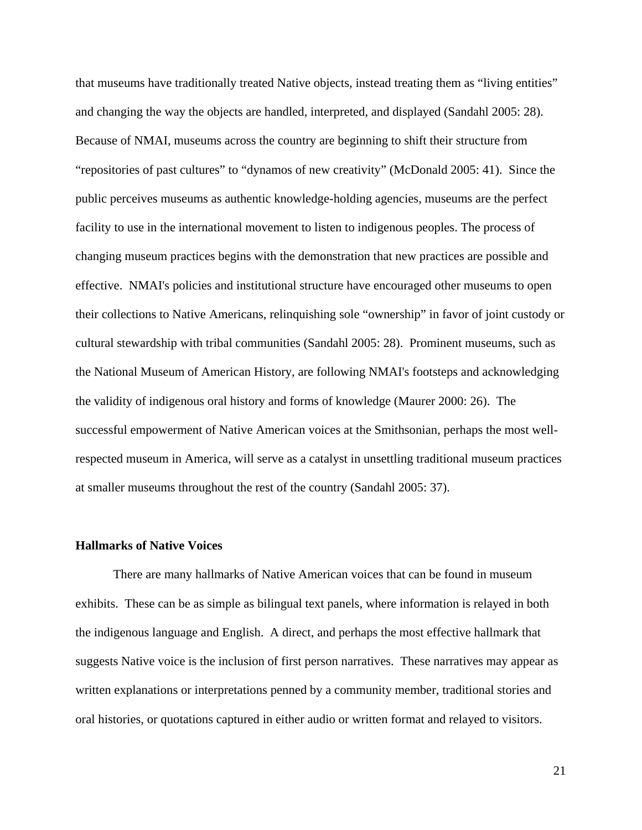that museums have traditionally treated Native objects, instead treating them as "living entities" and changing the way the objects are handled, interpreted, and displayed (Sandahl 2005: 28). Because of NMAI, museums across the country are beginning to shift their structure from "repositories of past cultures" to "dynamos of new creativity" (McDonald 2005: 41). Since the public perceives museums as authentic knowledge-holding agencies, museums are the perfect facility to use in the international movement to listen to indigenous peoples. The process of changing museum practices begins with the demonstration that new practices are possible and effective. NMAI's policies and institutional structure have encouraged other museums to open their collections to Native Americans, relinquishing sole "ownership" in favor of joint custody or cultural stewardship with tribal communities (Sandahl 2005: 28). Prominent museums, such as the National Museum of American History, are following NMAI's footsteps and acknowledging the validity of indigenous oral history and forms of knowledge (Maurer 2000: 26). The successful empowerment of Native American voices at the Smithsonian, perhaps the most wellrespected museum in America, will serve as a catalyst in unsettling traditional museum practices at smaller museums throughout the rest of the country (Sandahl 2005: 37).

#### **Hallmarks of Native Voices**

There are many hallmarks of Native American voices that can be found in museum exhibits. These can be as simple as bilingual text panels, where information is relayed in both the indigenous language and English. A direct, and perhaps the most effective hallmark that suggests Native voice is the inclusion of first person narratives. These narratives may appear as written explanations or interpretations penned by a community member, traditional stories and oral histories, or quotations captured in either audio or written format and relayed to visitors.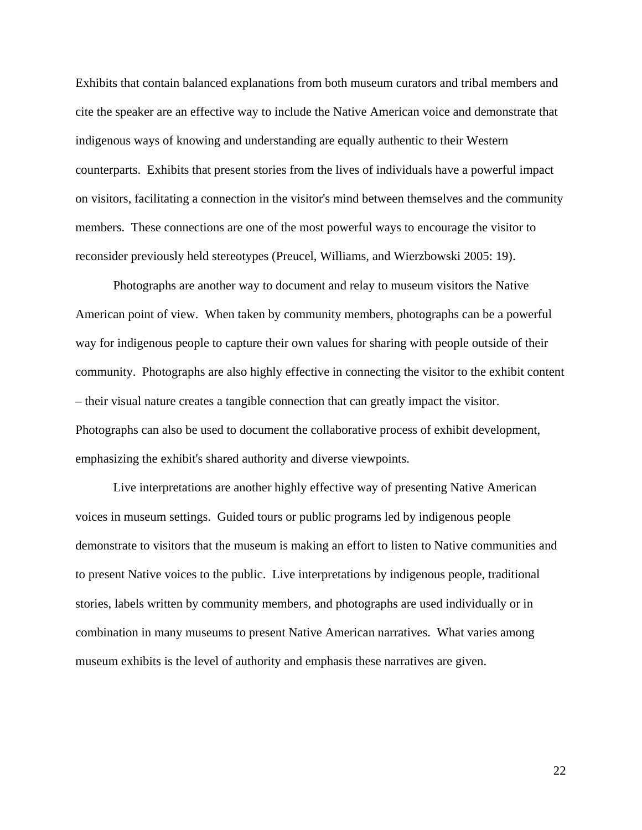Exhibits that contain balanced explanations from both museum curators and tribal members and cite the speaker are an effective way to include the Native American voice and demonstrate that indigenous ways of knowing and understanding are equally authentic to their Western counterparts. Exhibits that present stories from the lives of individuals have a powerful impact on visitors, facilitating a connection in the visitor's mind between themselves and the community members. These connections are one of the most powerful ways to encourage the visitor to reconsider previously held stereotypes (Preucel, Williams, and Wierzbowski 2005: 19).

Photographs are another way to document and relay to museum visitors the Native American point of view. When taken by community members, photographs can be a powerful way for indigenous people to capture their own values for sharing with people outside of their community. Photographs are also highly effective in connecting the visitor to the exhibit content – their visual nature creates a tangible connection that can greatly impact the visitor. Photographs can also be used to document the collaborative process of exhibit development, emphasizing the exhibit's shared authority and diverse viewpoints.

Live interpretations are another highly effective way of presenting Native American voices in museum settings. Guided tours or public programs led by indigenous people demonstrate to visitors that the museum is making an effort to listen to Native communities and to present Native voices to the public. Live interpretations by indigenous people, traditional stories, labels written by community members, and photographs are used individually or in combination in many museums to present Native American narratives. What varies among museum exhibits is the level of authority and emphasis these narratives are given.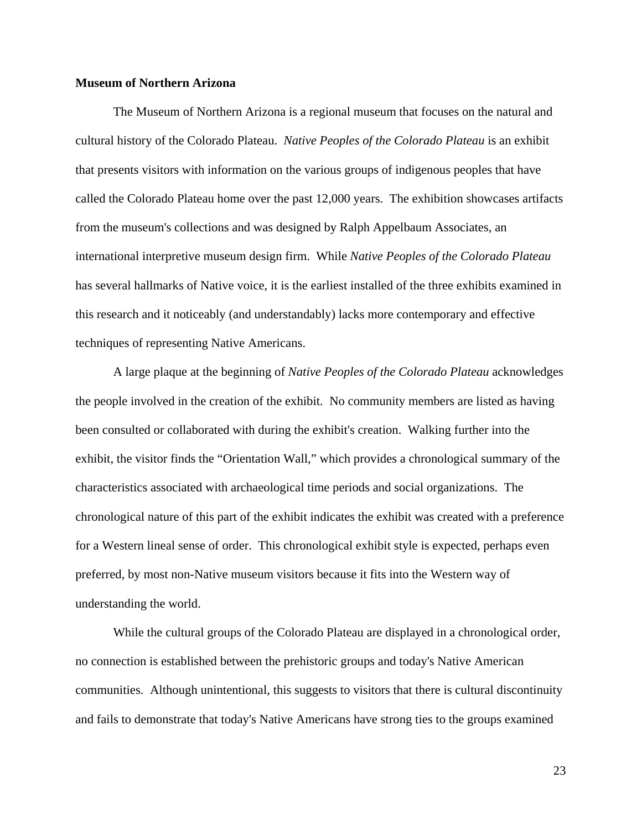# **Museum of Northern Arizona**

The Museum of Northern Arizona is a regional museum that focuses on the natural and cultural history of the Colorado Plateau. *Native Peoples of the Colorado Plateau* is an exhibit that presents visitors with information on the various groups of indigenous peoples that have called the Colorado Plateau home over the past 12,000 years. The exhibition showcases artifacts from the museum's collections and was designed by Ralph Appelbaum Associates, an international interpretive museum design firm. While *Native Peoples of the Colorado Plateau* has several hallmarks of Native voice, it is the earliest installed of the three exhibits examined in this research and it noticeably (and understandably) lacks more contemporary and effective techniques of representing Native Americans.

A large plaque at the beginning of *Native Peoples of the Colorado Plateau* acknowledges the people involved in the creation of the exhibit. No community members are listed as having been consulted or collaborated with during the exhibit's creation. Walking further into the exhibit, the visitor finds the "Orientation Wall," which provides a chronological summary of the characteristics associated with archaeological time periods and social organizations. The chronological nature of this part of the exhibit indicates the exhibit was created with a preference for a Western lineal sense of order. This chronological exhibit style is expected, perhaps even preferred, by most non-Native museum visitors because it fits into the Western way of understanding the world.

While the cultural groups of the Colorado Plateau are displayed in a chronological order, no connection is established between the prehistoric groups and today's Native American communities. Although unintentional, this suggests to visitors that there is cultural discontinuity and fails to demonstrate that today's Native Americans have strong ties to the groups examined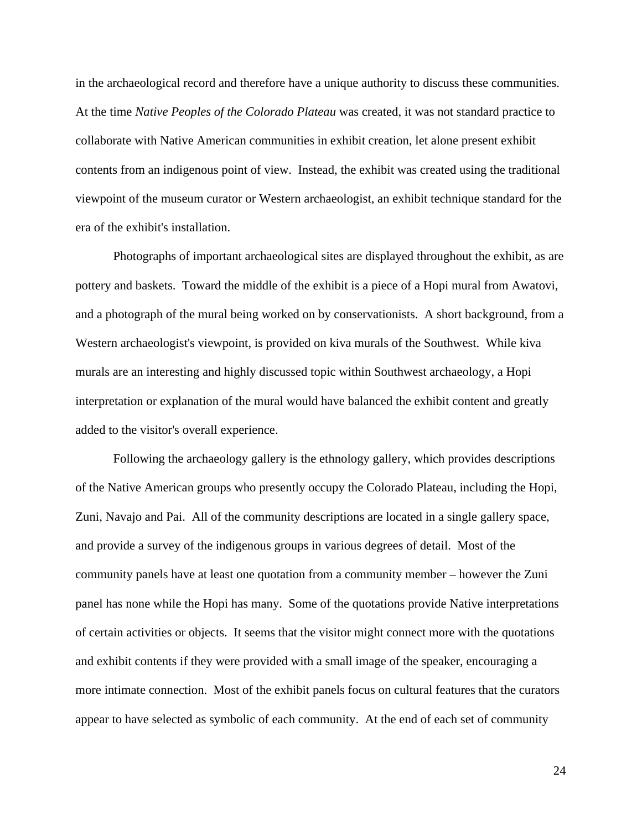in the archaeological record and therefore have a unique authority to discuss these communities. At the time *Native Peoples of the Colorado Plateau* was created, it was not standard practice to collaborate with Native American communities in exhibit creation, let alone present exhibit contents from an indigenous point of view. Instead, the exhibit was created using the traditional viewpoint of the museum curator or Western archaeologist, an exhibit technique standard for the era of the exhibit's installation.

Photographs of important archaeological sites are displayed throughout the exhibit, as are pottery and baskets. Toward the middle of the exhibit is a piece of a Hopi mural from Awatovi, and a photograph of the mural being worked on by conservationists. A short background, from a Western archaeologist's viewpoint, is provided on kiva murals of the Southwest. While kiva murals are an interesting and highly discussed topic within Southwest archaeology, a Hopi interpretation or explanation of the mural would have balanced the exhibit content and greatly added to the visitor's overall experience.

Following the archaeology gallery is the ethnology gallery, which provides descriptions of the Native American groups who presently occupy the Colorado Plateau, including the Hopi, Zuni, Navajo and Pai. All of the community descriptions are located in a single gallery space, and provide a survey of the indigenous groups in various degrees of detail. Most of the community panels have at least one quotation from a community member – however the Zuni panel has none while the Hopi has many. Some of the quotations provide Native interpretations of certain activities or objects. It seems that the visitor might connect more with the quotations and exhibit contents if they were provided with a small image of the speaker, encouraging a more intimate connection. Most of the exhibit panels focus on cultural features that the curators appear to have selected as symbolic of each community. At the end of each set of community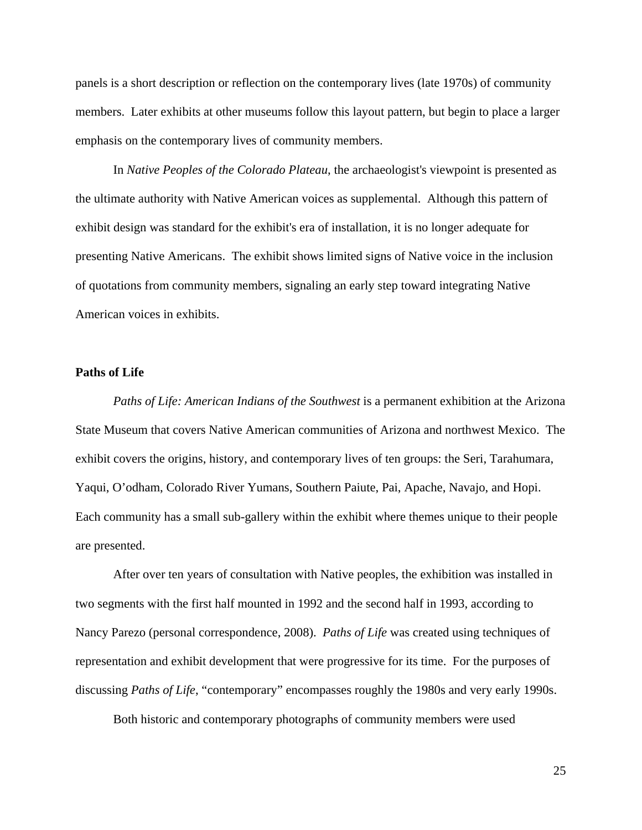panels is a short description or reflection on the contemporary lives (late 1970s) of community members. Later exhibits at other museums follow this layout pattern, but begin to place a larger emphasis on the contemporary lives of community members.

In *Native Peoples of the Colorado Plateau*, the archaeologist's viewpoint is presented as the ultimate authority with Native American voices as supplemental. Although this pattern of exhibit design was standard for the exhibit's era of installation, it is no longer adequate for presenting Native Americans. The exhibit shows limited signs of Native voice in the inclusion of quotations from community members, signaling an early step toward integrating Native American voices in exhibits.

### **Paths of Life**

*Paths of Life: American Indians of the Southwest* is a permanent exhibition at the Arizona State Museum that covers Native American communities of Arizona and northwest Mexico. The exhibit covers the origins, history, and contemporary lives of ten groups: the Seri, Tarahumara, Yaqui, O'odham, Colorado River Yumans, Southern Paiute, Pai, Apache, Navajo, and Hopi. Each community has a small sub-gallery within the exhibit where themes unique to their people are presented.

After over ten years of consultation with Native peoples, the exhibition was installed in two segments with the first half mounted in 1992 and the second half in 1993, according to Nancy Parezo (personal correspondence, 2008). *Paths of Life* was created using techniques of representation and exhibit development that were progressive for its time. For the purposes of discussing *Paths of Life*, "contemporary" encompasses roughly the 1980s and very early 1990s.

Both historic and contemporary photographs of community members were used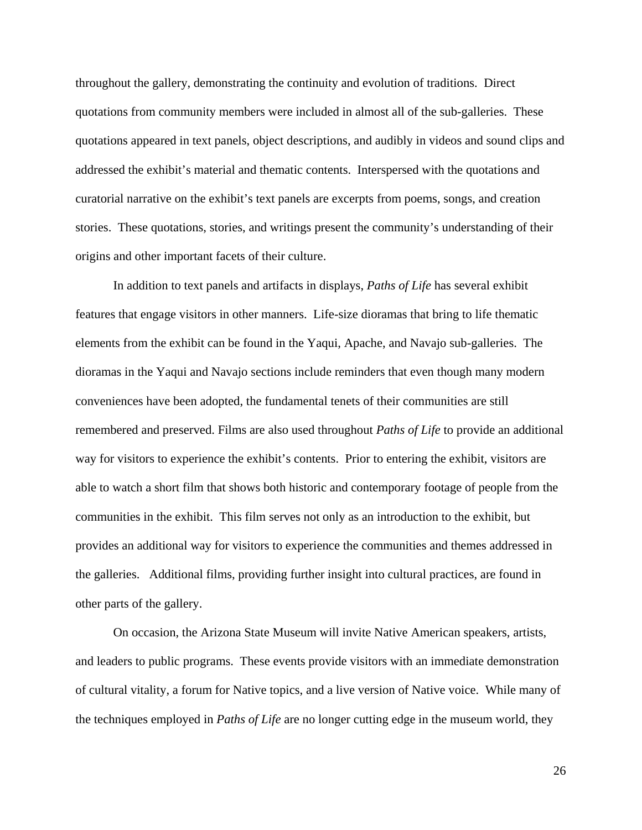throughout the gallery, demonstrating the continuity and evolution of traditions. Direct quotations from community members were included in almost all of the sub-galleries. These quotations appeared in text panels, object descriptions, and audibly in videos and sound clips and addressed the exhibit's material and thematic contents. Interspersed with the quotations and curatorial narrative on the exhibit's text panels are excerpts from poems, songs, and creation stories. These quotations, stories, and writings present the community's understanding of their origins and other important facets of their culture.

In addition to text panels and artifacts in displays, *Paths of Life* has several exhibit features that engage visitors in other manners. Life-size dioramas that bring to life thematic elements from the exhibit can be found in the Yaqui, Apache, and Navajo sub-galleries. The dioramas in the Yaqui and Navajo sections include reminders that even though many modern conveniences have been adopted, the fundamental tenets of their communities are still remembered and preserved. Films are also used throughout *Paths of Life* to provide an additional way for visitors to experience the exhibit's contents. Prior to entering the exhibit, visitors are able to watch a short film that shows both historic and contemporary footage of people from the communities in the exhibit. This film serves not only as an introduction to the exhibit, but provides an additional way for visitors to experience the communities and themes addressed in the galleries. Additional films, providing further insight into cultural practices, are found in other parts of the gallery.

 On occasion, the Arizona State Museum will invite Native American speakers, artists, and leaders to public programs. These events provide visitors with an immediate demonstration of cultural vitality, a forum for Native topics, and a live version of Native voice. While many of the techniques employed in *Paths of Life* are no longer cutting edge in the museum world, they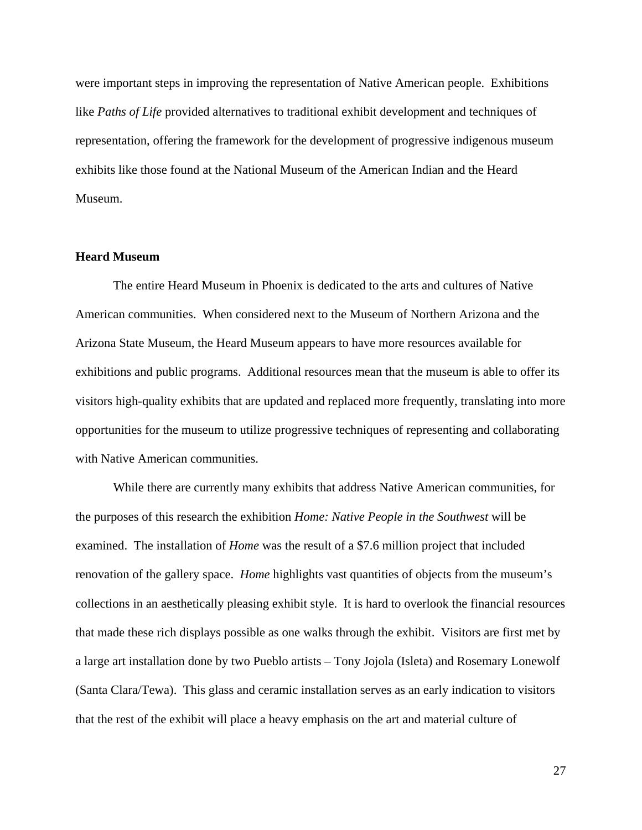were important steps in improving the representation of Native American people. Exhibitions like *Paths of Life* provided alternatives to traditional exhibit development and techniques of representation, offering the framework for the development of progressive indigenous museum exhibits like those found at the National Museum of the American Indian and the Heard Museum.

#### **Heard Museum**

The entire Heard Museum in Phoenix is dedicated to the arts and cultures of Native American communities. When considered next to the Museum of Northern Arizona and the Arizona State Museum, the Heard Museum appears to have more resources available for exhibitions and public programs. Additional resources mean that the museum is able to offer its visitors high-quality exhibits that are updated and replaced more frequently, translating into more opportunities for the museum to utilize progressive techniques of representing and collaborating with Native American communities.

While there are currently many exhibits that address Native American communities, for the purposes of this research the exhibition *Home: Native People in the Southwest* will be examined. The installation of *Home* was the result of a \$7.6 million project that included renovation of the gallery space. *Home* highlights vast quantities of objects from the museum's collections in an aesthetically pleasing exhibit style. It is hard to overlook the financial resources that made these rich displays possible as one walks through the exhibit. Visitors are first met by a large art installation done by two Pueblo artists – Tony Jojola (Isleta) and Rosemary Lonewolf (Santa Clara/Tewa). This glass and ceramic installation serves as an early indication to visitors that the rest of the exhibit will place a heavy emphasis on the art and material culture of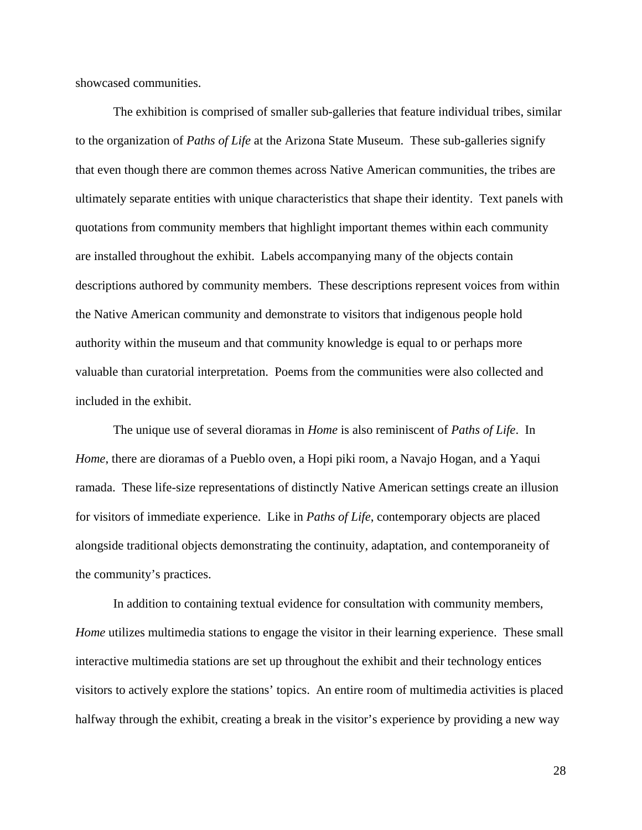showcased communities.

The exhibition is comprised of smaller sub-galleries that feature individual tribes, similar to the organization of *Paths of Life* at the Arizona State Museum. These sub-galleries signify that even though there are common themes across Native American communities, the tribes are ultimately separate entities with unique characteristics that shape their identity. Text panels with quotations from community members that highlight important themes within each community are installed throughout the exhibit. Labels accompanying many of the objects contain descriptions authored by community members. These descriptions represent voices from within the Native American community and demonstrate to visitors that indigenous people hold authority within the museum and that community knowledge is equal to or perhaps more valuable than curatorial interpretation. Poems from the communities were also collected and included in the exhibit.

The unique use of several dioramas in *Home* is also reminiscent of *Paths of Life*. In *Home*, there are dioramas of a Pueblo oven, a Hopi piki room, a Navajo Hogan, and a Yaqui ramada. These life-size representations of distinctly Native American settings create an illusion for visitors of immediate experience. Like in *Paths of Life*, contemporary objects are placed alongside traditional objects demonstrating the continuity, adaptation, and contemporaneity of the community's practices.

In addition to containing textual evidence for consultation with community members, *Home* utilizes multimedia stations to engage the visitor in their learning experience. These small interactive multimedia stations are set up throughout the exhibit and their technology entices visitors to actively explore the stations' topics. An entire room of multimedia activities is placed halfway through the exhibit, creating a break in the visitor's experience by providing a new way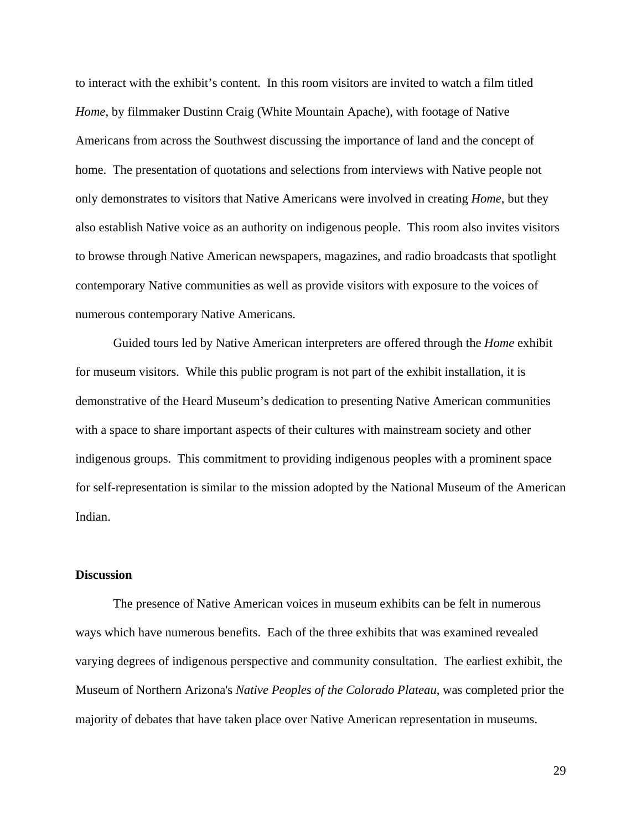to interact with the exhibit's content. In this room visitors are invited to watch a film titled *Home*, by filmmaker Dustinn Craig (White Mountain Apache), with footage of Native Americans from across the Southwest discussing the importance of land and the concept of home. The presentation of quotations and selections from interviews with Native people not only demonstrates to visitors that Native Americans were involved in creating *Home*, but they also establish Native voice as an authority on indigenous people. This room also invites visitors to browse through Native American newspapers, magazines, and radio broadcasts that spotlight contemporary Native communities as well as provide visitors with exposure to the voices of numerous contemporary Native Americans.

Guided tours led by Native American interpreters are offered through the *Home* exhibit for museum visitors. While this public program is not part of the exhibit installation, it is demonstrative of the Heard Museum's dedication to presenting Native American communities with a space to share important aspects of their cultures with mainstream society and other indigenous groups. This commitment to providing indigenous peoples with a prominent space for self-representation is similar to the mission adopted by the National Museum of the American Indian.

# **Discussion**

 The presence of Native American voices in museum exhibits can be felt in numerous ways which have numerous benefits. Each of the three exhibits that was examined revealed varying degrees of indigenous perspective and community consultation. The earliest exhibit, the Museum of Northern Arizona's *Native Peoples of the Colorado Plateau*, was completed prior the majority of debates that have taken place over Native American representation in museums.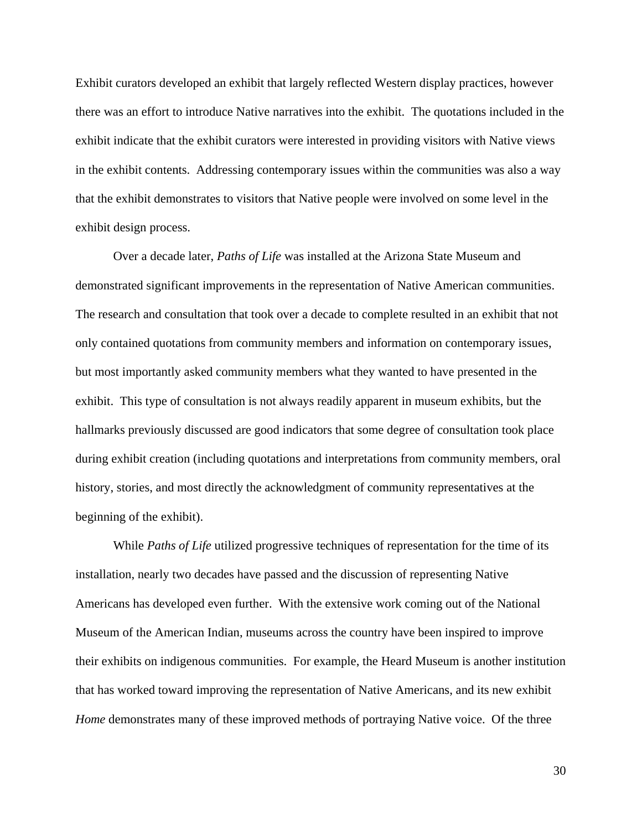Exhibit curators developed an exhibit that largely reflected Western display practices, however there was an effort to introduce Native narratives into the exhibit. The quotations included in the exhibit indicate that the exhibit curators were interested in providing visitors with Native views in the exhibit contents. Addressing contemporary issues within the communities was also a way that the exhibit demonstrates to visitors that Native people were involved on some level in the exhibit design process.

 Over a decade later, *Paths of Life* was installed at the Arizona State Museum and demonstrated significant improvements in the representation of Native American communities. The research and consultation that took over a decade to complete resulted in an exhibit that not only contained quotations from community members and information on contemporary issues, but most importantly asked community members what they wanted to have presented in the exhibit. This type of consultation is not always readily apparent in museum exhibits, but the hallmarks previously discussed are good indicators that some degree of consultation took place during exhibit creation (including quotations and interpretations from community members, oral history, stories, and most directly the acknowledgment of community representatives at the beginning of the exhibit).

 While *Paths of Life* utilized progressive techniques of representation for the time of its installation, nearly two decades have passed and the discussion of representing Native Americans has developed even further. With the extensive work coming out of the National Museum of the American Indian, museums across the country have been inspired to improve their exhibits on indigenous communities. For example, the Heard Museum is another institution that has worked toward improving the representation of Native Americans, and its new exhibit *Home* demonstrates many of these improved methods of portraying Native voice. Of the three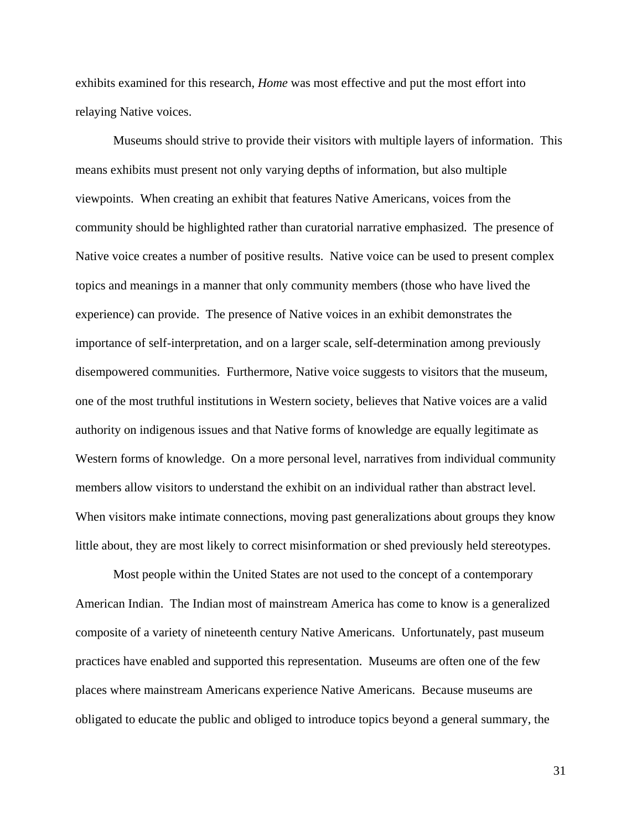exhibits examined for this research, *Home* was most effective and put the most effort into relaying Native voices.

 Museums should strive to provide their visitors with multiple layers of information. This means exhibits must present not only varying depths of information, but also multiple viewpoints. When creating an exhibit that features Native Americans, voices from the community should be highlighted rather than curatorial narrative emphasized. The presence of Native voice creates a number of positive results. Native voice can be used to present complex topics and meanings in a manner that only community members (those who have lived the experience) can provide. The presence of Native voices in an exhibit demonstrates the importance of self-interpretation, and on a larger scale, self-determination among previously disempowered communities. Furthermore, Native voice suggests to visitors that the museum, one of the most truthful institutions in Western society, believes that Native voices are a valid authority on indigenous issues and that Native forms of knowledge are equally legitimate as Western forms of knowledge. On a more personal level, narratives from individual community members allow visitors to understand the exhibit on an individual rather than abstract level. When visitors make intimate connections, moving past generalizations about groups they know little about, they are most likely to correct misinformation or shed previously held stereotypes.

 Most people within the United States are not used to the concept of a contemporary American Indian. The Indian most of mainstream America has come to know is a generalized composite of a variety of nineteenth century Native Americans. Unfortunately, past museum practices have enabled and supported this representation. Museums are often one of the few places where mainstream Americans experience Native Americans. Because museums are obligated to educate the public and obliged to introduce topics beyond a general summary, the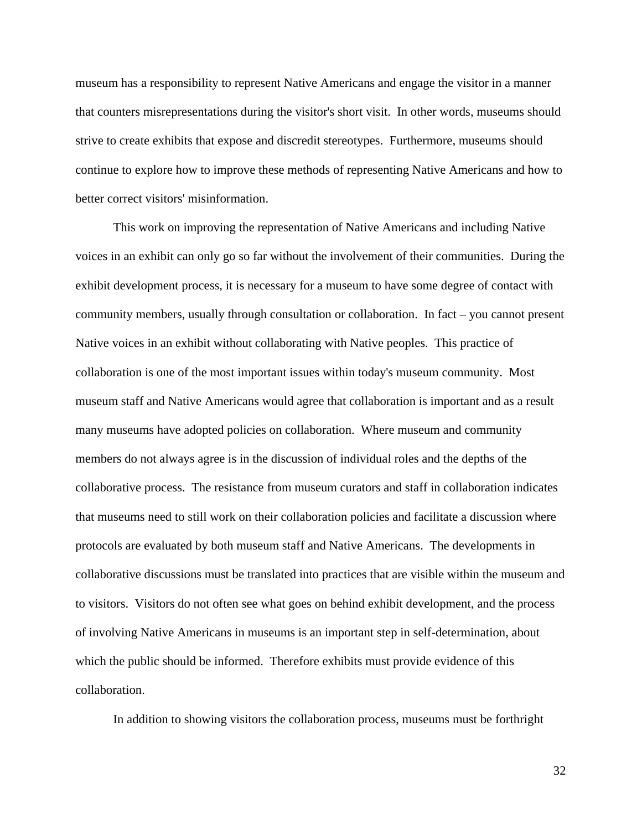museum has a responsibility to represent Native Americans and engage the visitor in a manner that counters misrepresentations during the visitor's short visit. In other words, museums should strive to create exhibits that expose and discredit stereotypes. Furthermore, museums should continue to explore how to improve these methods of representing Native Americans and how to better correct visitors' misinformation.

 This work on improving the representation of Native Americans and including Native voices in an exhibit can only go so far without the involvement of their communities. During the exhibit development process, it is necessary for a museum to have some degree of contact with community members, usually through consultation or collaboration. In fact – you cannot present Native voices in an exhibit without collaborating with Native peoples. This practice of collaboration is one of the most important issues within today's museum community. Most museum staff and Native Americans would agree that collaboration is important and as a result many museums have adopted policies on collaboration. Where museum and community members do not always agree is in the discussion of individual roles and the depths of the collaborative process. The resistance from museum curators and staff in collaboration indicates that museums need to still work on their collaboration policies and facilitate a discussion where protocols are evaluated by both museum staff and Native Americans. The developments in collaborative discussions must be translated into practices that are visible within the museum and to visitors. Visitors do not often see what goes on behind exhibit development, and the process of involving Native Americans in museums is an important step in self-determination, about which the public should be informed. Therefore exhibits must provide evidence of this collaboration.

In addition to showing visitors the collaboration process, museums must be forthright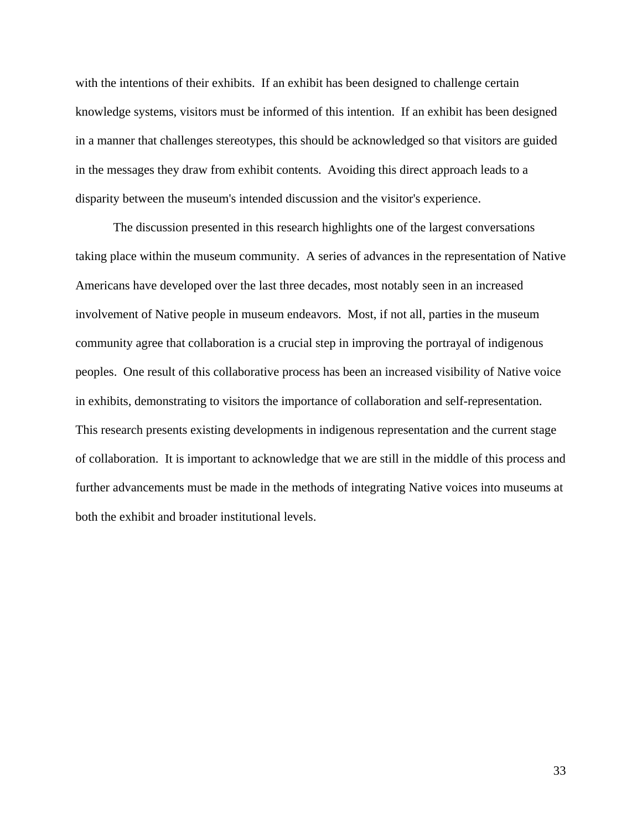with the intentions of their exhibits. If an exhibit has been designed to challenge certain knowledge systems, visitors must be informed of this intention. If an exhibit has been designed in a manner that challenges stereotypes, this should be acknowledged so that visitors are guided in the messages they draw from exhibit contents. Avoiding this direct approach leads to a disparity between the museum's intended discussion and the visitor's experience.

 The discussion presented in this research highlights one of the largest conversations taking place within the museum community. A series of advances in the representation of Native Americans have developed over the last three decades, most notably seen in an increased involvement of Native people in museum endeavors. Most, if not all, parties in the museum community agree that collaboration is a crucial step in improving the portrayal of indigenous peoples. One result of this collaborative process has been an increased visibility of Native voice in exhibits, demonstrating to visitors the importance of collaboration and self-representation. This research presents existing developments in indigenous representation and the current stage of collaboration. It is important to acknowledge that we are still in the middle of this process and further advancements must be made in the methods of integrating Native voices into museums at both the exhibit and broader institutional levels.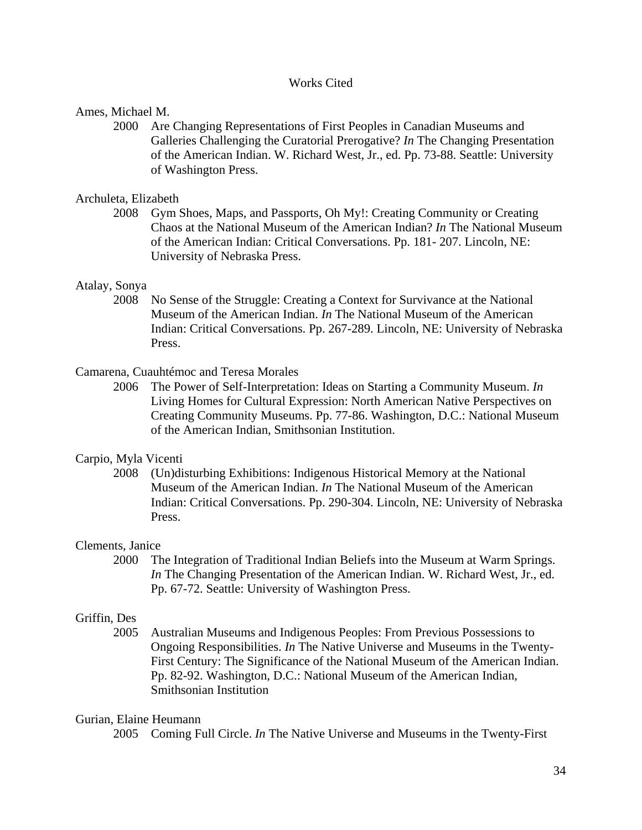# Works Cited

# Ames, Michael M.

2000 Are Changing Representations of First Peoples in Canadian Museums and Galleries Challenging the Curatorial Prerogative? *In* The Changing Presentation of the American Indian. W. Richard West, Jr., ed. Pp. 73-88. Seattle: University of Washington Press.

# Archuleta, Elizabeth

2008 Gym Shoes, Maps, and Passports, Oh My!: Creating Community or Creating Chaos at the National Museum of the American Indian? *In* The National Museum of the American Indian: Critical Conversations. Pp. 181- 207. Lincoln, NE: University of Nebraska Press.

# Atalay, Sonya

 2008 No Sense of the Struggle: Creating a Context for Survivance at the National Museum of the American Indian. *In* The National Museum of the American Indian: Critical Conversations. Pp. 267-289. Lincoln, NE: University of Nebraska Press.

# Camarena, Cuauhtémoc and Teresa Morales

2006 The Power of Self-Interpretation: Ideas on Starting a Community Museum. *In* Living Homes for Cultural Expression: North American Native Perspectives on Creating Community Museums. Pp. 77-86. Washington, D.C.: National Museum of the American Indian, Smithsonian Institution.

# Carpio, Myla Vicenti

 2008 (Un)disturbing Exhibitions: Indigenous Historical Memory at the National Museum of the American Indian. *In* The National Museum of the American Indian: Critical Conversations. Pp. 290-304. Lincoln, NE: University of Nebraska Press.

#### Clements, Janice

2000 The Integration of Traditional Indian Beliefs into the Museum at Warm Springs. *In* The Changing Presentation of the American Indian. W. Richard West, Jr., ed. Pp. 67-72. Seattle: University of Washington Press.

# Griffin, Des

2005 Australian Museums and Indigenous Peoples: From Previous Possessions to Ongoing Responsibilities. *In* The Native Universe and Museums in the Twenty-First Century: The Significance of the National Museum of the American Indian. Pp. 82-92. Washington, D.C.: National Museum of the American Indian, Smithsonian Institution

### Gurian, Elaine Heumann

2005 Coming Full Circle. *In* The Native Universe and Museums in the Twenty-First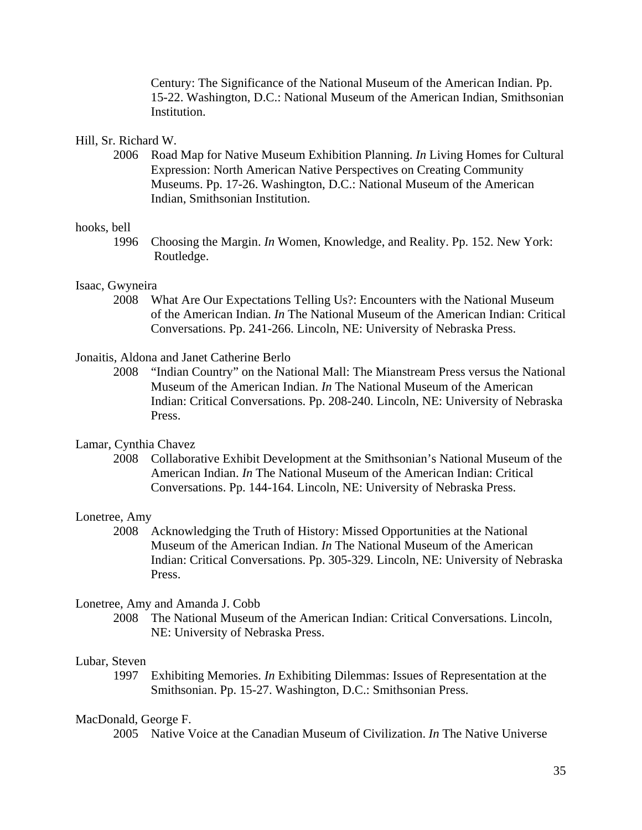Century: The Significance of the National Museum of the American Indian. Pp. 15-22. Washington, D.C.: National Museum of the American Indian, Smithsonian Institution.

### Hill, Sr. Richard W.

2006 Road Map for Native Museum Exhibition Planning. *In* Living Homes for Cultural Expression: North American Native Perspectives on Creating Community Museums. Pp. 17-26. Washington, D.C.: National Museum of the American Indian, Smithsonian Institution.

#### hooks, bell

 1996 Choosing the Margin. *In* Women, Knowledge, and Reality. Pp. 152. New York: Routledge.

# Isaac, Gwyneira

 2008 What Are Our Expectations Telling Us?: Encounters with the National Museum of the American Indian. *In* The National Museum of the American Indian: Critical Conversations. Pp. 241-266. Lincoln, NE: University of Nebraska Press.

### Jonaitis, Aldona and Janet Catherine Berlo

 2008 "Indian Country" on the National Mall: The Mianstream Press versus the National Museum of the American Indian. *In* The National Museum of the American Indian: Critical Conversations. Pp. 208-240. Lincoln, NE: University of Nebraska Press.

# Lamar, Cynthia Chavez

2008 Collaborative Exhibit Development at the Smithsonian's National Museum of the American Indian. *In* The National Museum of the American Indian: Critical Conversations. Pp. 144-164. Lincoln, NE: University of Nebraska Press.

#### Lonetree, Amy

 2008 Acknowledging the Truth of History: Missed Opportunities at the National Museum of the American Indian. *In* The National Museum of the American Indian: Critical Conversations. Pp. 305-329. Lincoln, NE: University of Nebraska Press.

#### Lonetree, Amy and Amanda J. Cobb

2008 The National Museum of the American Indian: Critical Conversations. Lincoln, NE: University of Nebraska Press.

#### Lubar, Steven

1997 Exhibiting Memories. *In* Exhibiting Dilemmas: Issues of Representation at the Smithsonian. Pp. 15-27. Washington, D.C.: Smithsonian Press.

#### MacDonald, George F.

2005 Native Voice at the Canadian Museum of Civilization. *In* The Native Universe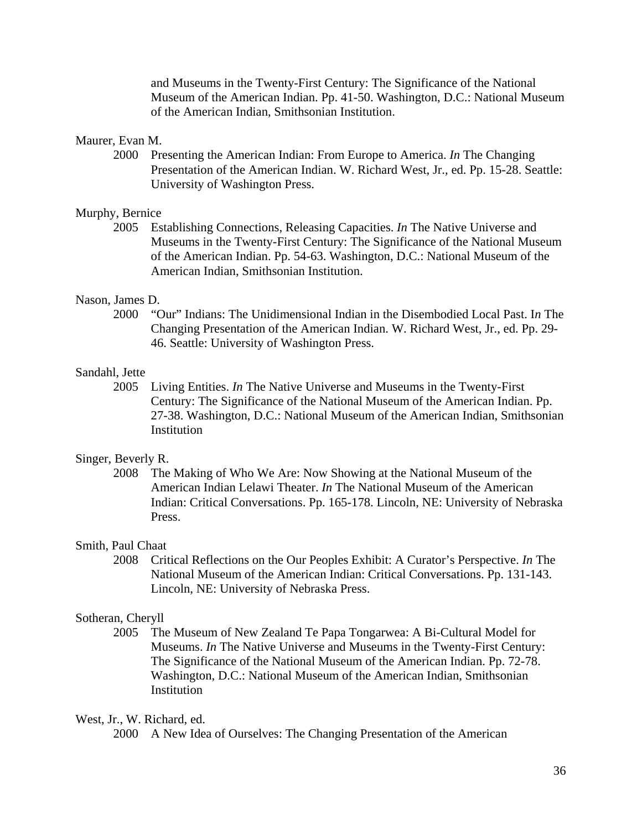and Museums in the Twenty-First Century: The Significance of the National Museum of the American Indian. Pp. 41-50. Washington, D.C.: National Museum of the American Indian, Smithsonian Institution.

# Maurer, Evan M.

2000 Presenting the American Indian: From Europe to America. *In* The Changing Presentation of the American Indian. W. Richard West, Jr., ed. Pp. 15-28. Seattle: University of Washington Press.

# Murphy, Bernice

2005 Establishing Connections, Releasing Capacities. *In* The Native Universe and Museums in the Twenty-First Century: The Significance of the National Museum of the American Indian. Pp. 54-63. Washington, D.C.: National Museum of the American Indian, Smithsonian Institution.

### Nason, James D.

2000 "Our" Indians: The Unidimensional Indian in the Disembodied Local Past. I*n* The Changing Presentation of the American Indian. W. Richard West, Jr., ed. Pp. 29- 46. Seattle: University of Washington Press.

#### Sandahl, Jette

2005 Living Entities. *In* The Native Universe and Museums in the Twenty-First Century: The Significance of the National Museum of the American Indian. Pp. 27-38. Washington, D.C.: National Museum of the American Indian, Smithsonian **Institution** 

### Singer, Beverly R.

2008 The Making of Who We Are: Now Showing at the National Museum of the American Indian Lelawi Theater. *In* The National Museum of the American Indian: Critical Conversations. Pp. 165-178. Lincoln, NE: University of Nebraska Press.

# Smith, Paul Chaat

2008 Critical Reflections on the Our Peoples Exhibit: A Curator's Perspective. *In* The National Museum of the American Indian: Critical Conversations. Pp. 131-143. Lincoln, NE: University of Nebraska Press.

### Sotheran, Cheryll

2005 The Museum of New Zealand Te Papa Tongarwea: A Bi-Cultural Model for Museums. *In* The Native Universe and Museums in the Twenty-First Century: The Significance of the National Museum of the American Indian. Pp. 72-78. Washington, D.C.: National Museum of the American Indian, Smithsonian **Institution** 

#### West, Jr., W. Richard, ed.

2000 A New Idea of Ourselves: The Changing Presentation of the American